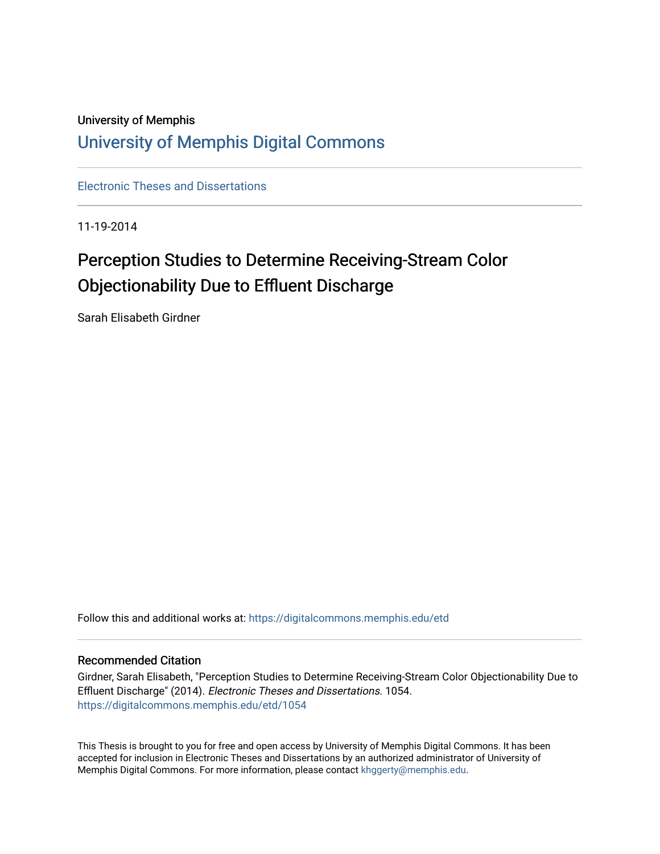# University of Memphis [University of Memphis Digital Commons](https://digitalcommons.memphis.edu/)

[Electronic Theses and Dissertations](https://digitalcommons.memphis.edu/etd)

11-19-2014

# Perception Studies to Determine Receiving-Stream Color Objectionability Due to Effluent Discharge

Sarah Elisabeth Girdner

Follow this and additional works at: [https://digitalcommons.memphis.edu/etd](https://digitalcommons.memphis.edu/etd?utm_source=digitalcommons.memphis.edu%2Fetd%2F1054&utm_medium=PDF&utm_campaign=PDFCoverPages) 

#### Recommended Citation

Girdner, Sarah Elisabeth, "Perception Studies to Determine Receiving-Stream Color Objectionability Due to Effluent Discharge" (2014). Electronic Theses and Dissertations. 1054. [https://digitalcommons.memphis.edu/etd/1054](https://digitalcommons.memphis.edu/etd/1054?utm_source=digitalcommons.memphis.edu%2Fetd%2F1054&utm_medium=PDF&utm_campaign=PDFCoverPages) 

This Thesis is brought to you for free and open access by University of Memphis Digital Commons. It has been accepted for inclusion in Electronic Theses and Dissertations by an authorized administrator of University of Memphis Digital Commons. For more information, please contact [khggerty@memphis.edu.](mailto:khggerty@memphis.edu)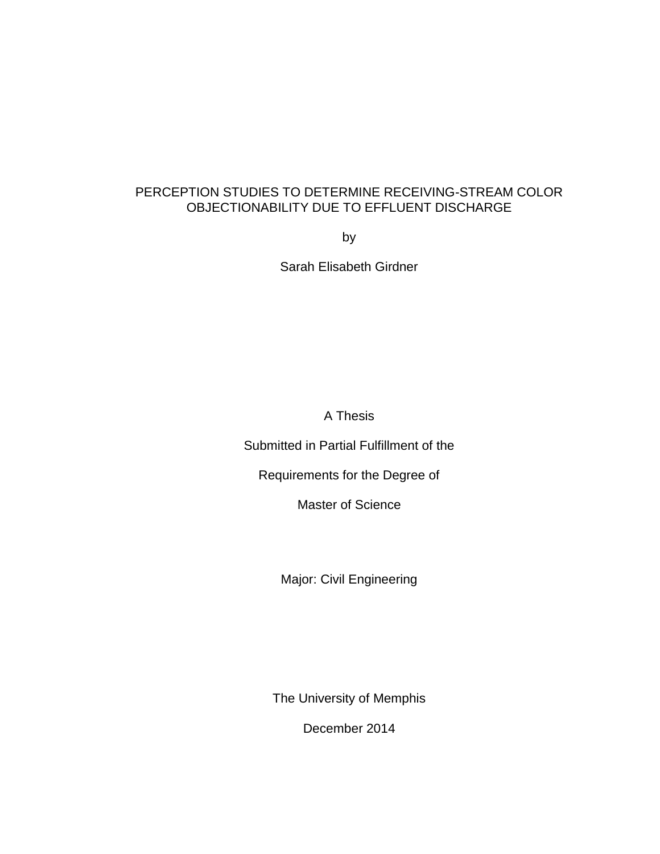# PERCEPTION STUDIES TO DETERMINE RECEIVING-STREAM COLOR OBJECTIONABILITY DUE TO EFFLUENT DISCHARGE

by

Sarah Elisabeth Girdner

A Thesis

Submitted in Partial Fulfillment of the

Requirements for the Degree of

Master of Science

Major: Civil Engineering

The University of Memphis

December 2014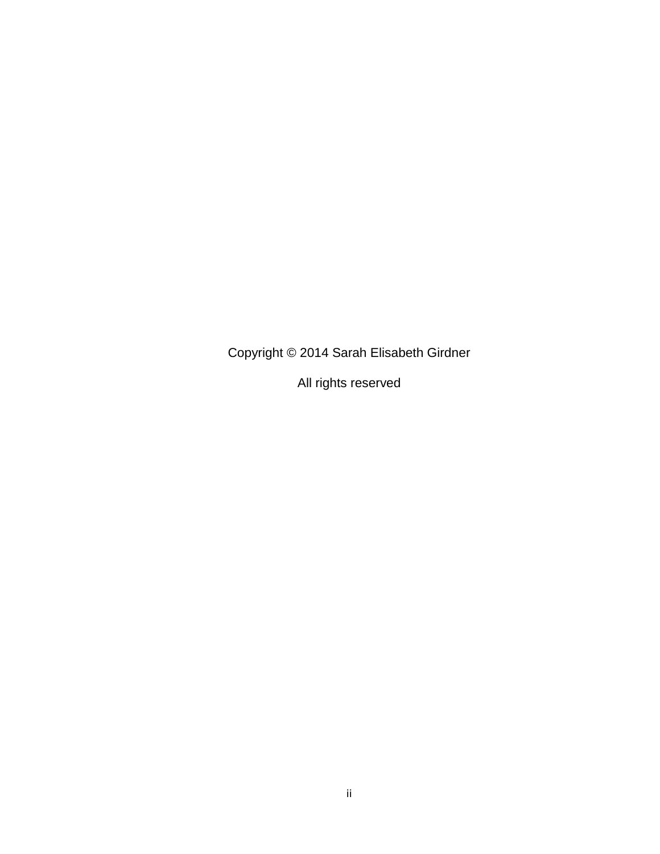Copyright © 2014 Sarah Elisabeth Girdner

All rights reserved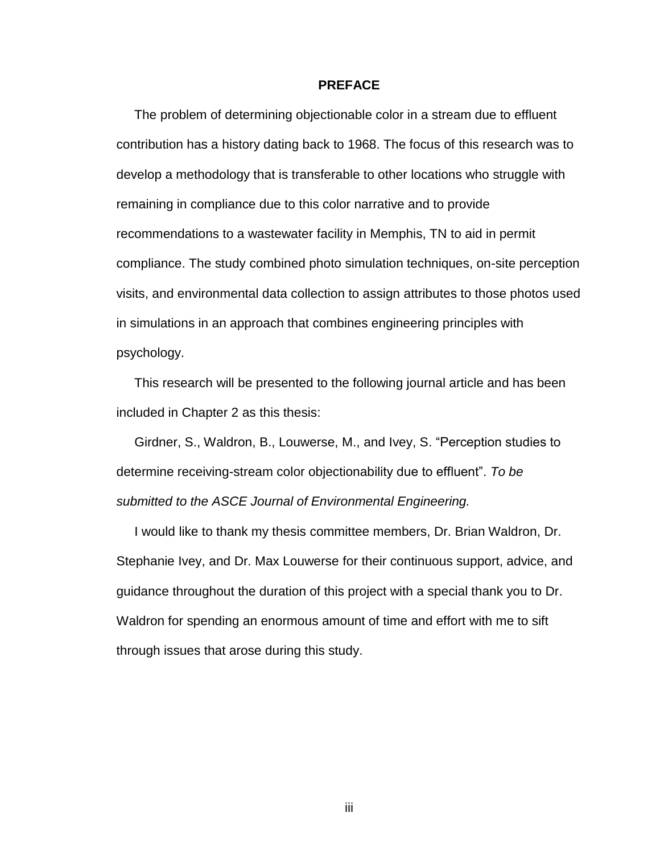#### **PREFACE**

The problem of determining objectionable color in a stream due to effluent contribution has a history dating back to 1968. The focus of this research was to develop a methodology that is transferable to other locations who struggle with remaining in compliance due to this color narrative and to provide recommendations to a wastewater facility in Memphis, TN to aid in permit compliance. The study combined photo simulation techniques, on-site perception visits, and environmental data collection to assign attributes to those photos used in simulations in an approach that combines engineering principles with psychology.

 This research will be presented to the following journal article and has been included in Chapter 2 as this thesis:

 Girdner, S., Waldron, B., Louwerse, M., and Ivey, S. "Perception studies to determine receiving-stream color objectionability due to effluent". *To be submitted to the ASCE Journal of Environmental Engineering.*

I would like to thank my thesis committee members, Dr. Brian Waldron, Dr. Stephanie Ivey, and Dr. Max Louwerse for their continuous support, advice, and guidance throughout the duration of this project with a special thank you to Dr. Waldron for spending an enormous amount of time and effort with me to sift through issues that arose during this study.

iii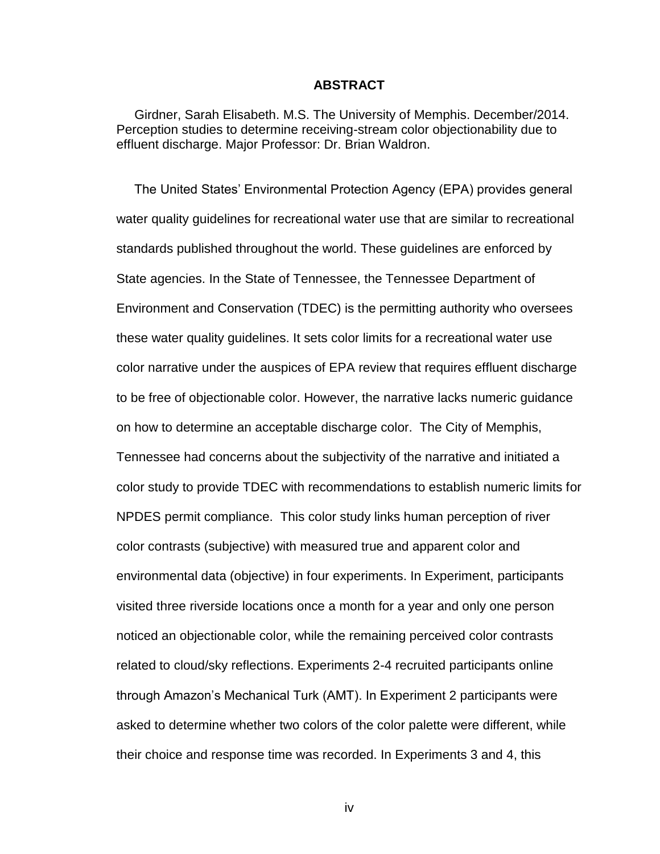#### **ABSTRACT**

Girdner, Sarah Elisabeth. M.S. The University of Memphis. December/2014. Perception studies to determine receiving-stream color objectionability due to effluent discharge. Major Professor: Dr. Brian Waldron.

 The United States' Environmental Protection Agency (EPA) provides general water quality guidelines for recreational water use that are similar to recreational standards published throughout the world. These guidelines are enforced by State agencies. In the State of Tennessee, the Tennessee Department of Environment and Conservation (TDEC) is the permitting authority who oversees these water quality guidelines. It sets color limits for a recreational water use color narrative under the auspices of EPA review that requires effluent discharge to be free of objectionable color. However, the narrative lacks numeric guidance on how to determine an acceptable discharge color. The City of Memphis, Tennessee had concerns about the subjectivity of the narrative and initiated a color study to provide TDEC with recommendations to establish numeric limits for NPDES permit compliance. This color study links human perception of river color contrasts (subjective) with measured true and apparent color and environmental data (objective) in four experiments. In Experiment, participants visited three riverside locations once a month for a year and only one person noticed an objectionable color, while the remaining perceived color contrasts related to cloud/sky reflections. Experiments 2-4 recruited participants online through Amazon's Mechanical Turk (AMT). In Experiment 2 participants were asked to determine whether two colors of the color palette were different, while their choice and response time was recorded. In Experiments 3 and 4, this

iv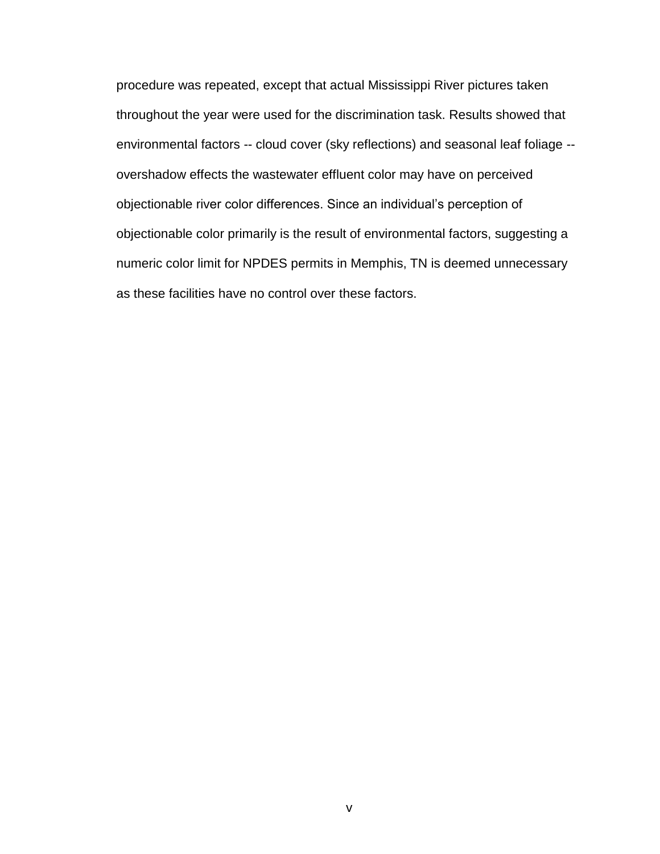procedure was repeated, except that actual Mississippi River pictures taken throughout the year were used for the discrimination task. Results showed that environmental factors -- cloud cover (sky reflections) and seasonal leaf foliage - overshadow effects the wastewater effluent color may have on perceived objectionable river color differences. Since an individual's perception of objectionable color primarily is the result of environmental factors, suggesting a numeric color limit for NPDES permits in Memphis, TN is deemed unnecessary as these facilities have no control over these factors.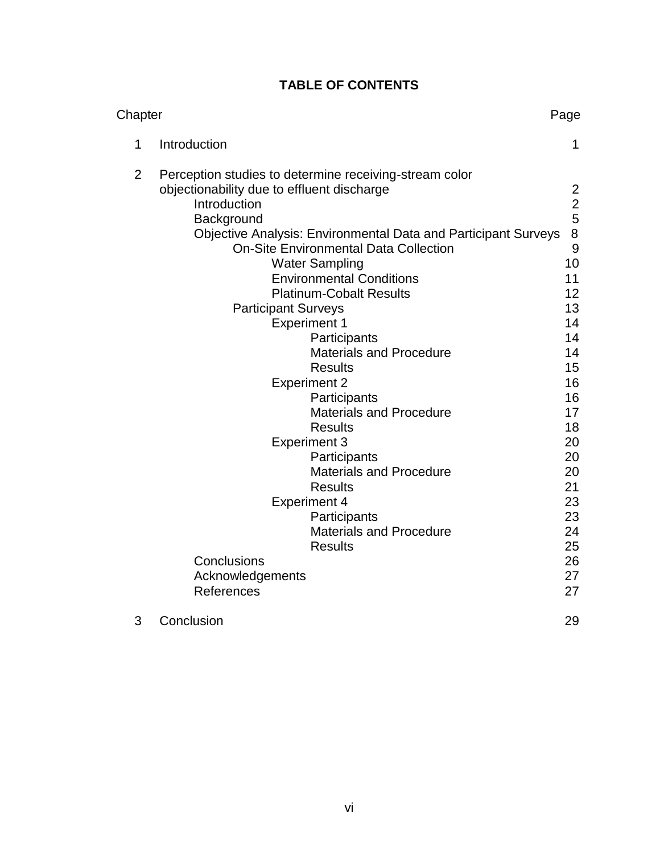# **TABLE OF CONTENTS**

| Chapter        |                                                                          |                                                                                                                                                                                                                                                                                                                                                                                                                                                                                                                                                                                                                                                                       | Page                                                                                                                                                                                |
|----------------|--------------------------------------------------------------------------|-----------------------------------------------------------------------------------------------------------------------------------------------------------------------------------------------------------------------------------------------------------------------------------------------------------------------------------------------------------------------------------------------------------------------------------------------------------------------------------------------------------------------------------------------------------------------------------------------------------------------------------------------------------------------|-------------------------------------------------------------------------------------------------------------------------------------------------------------------------------------|
| 1              | Introduction                                                             |                                                                                                                                                                                                                                                                                                                                                                                                                                                                                                                                                                                                                                                                       | 1                                                                                                                                                                                   |
| $\overline{2}$ | objectionability due to effluent discharge<br>Introduction<br>Background | Perception studies to determine receiving-stream color<br><b>Objective Analysis: Environmental Data and Participant Surveys</b><br><b>On-Site Environmental Data Collection</b><br><b>Water Sampling</b><br><b>Environmental Conditions</b><br><b>Platinum-Cobalt Results</b><br><b>Participant Surveys</b><br><b>Experiment 1</b><br>Participants<br><b>Materials and Procedure</b><br><b>Results</b><br><b>Experiment 2</b><br>Participants<br><b>Materials and Procedure</b><br><b>Results</b><br><b>Experiment 3</b><br>Participants<br><b>Materials and Procedure</b><br><b>Results</b><br><b>Experiment 4</b><br>Participants<br><b>Materials and Procedure</b> | $\overline{2}$<br>$\begin{array}{c} 2 \\ 5 \\ 8 \end{array}$<br>9<br>10<br>11<br>12<br>13<br>14<br>14<br>14<br>15<br>16<br>16<br>17<br>18<br>20<br>20<br>20<br>21<br>23<br>23<br>24 |
|                | Conclusions<br>Acknowledgements<br>References                            | <b>Results</b>                                                                                                                                                                                                                                                                                                                                                                                                                                                                                                                                                                                                                                                        | 25<br>26<br>27<br>27                                                                                                                                                                |
| 3              | Conclusion                                                               |                                                                                                                                                                                                                                                                                                                                                                                                                                                                                                                                                                                                                                                                       | 29                                                                                                                                                                                  |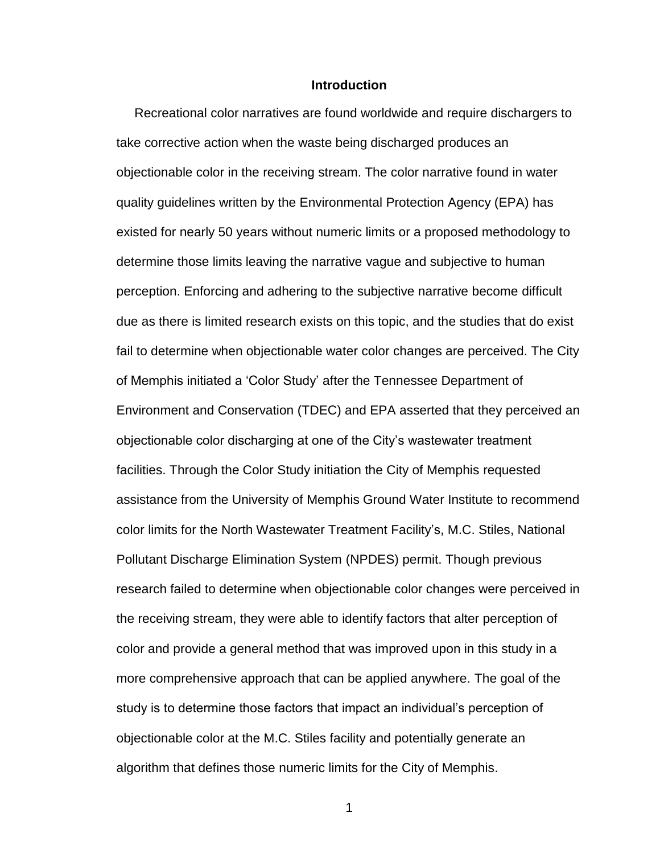#### **Introduction**

 Recreational color narratives are found worldwide and require dischargers to take corrective action when the waste being discharged produces an objectionable color in the receiving stream. The color narrative found in water quality guidelines written by the Environmental Protection Agency (EPA) has existed for nearly 50 years without numeric limits or a proposed methodology to determine those limits leaving the narrative vague and subjective to human perception. Enforcing and adhering to the subjective narrative become difficult due as there is limited research exists on this topic, and the studies that do exist fail to determine when objectionable water color changes are perceived. The City of Memphis initiated a 'Color Study' after the Tennessee Department of Environment and Conservation (TDEC) and EPA asserted that they perceived an objectionable color discharging at one of the City's wastewater treatment facilities. Through the Color Study initiation the City of Memphis requested assistance from the University of Memphis Ground Water Institute to recommend color limits for the North Wastewater Treatment Facility's, M.C. Stiles, National Pollutant Discharge Elimination System (NPDES) permit. Though previous research failed to determine when objectionable color changes were perceived in the receiving stream, they were able to identify factors that alter perception of color and provide a general method that was improved upon in this study in a more comprehensive approach that can be applied anywhere. The goal of the study is to determine those factors that impact an individual's perception of objectionable color at the M.C. Stiles facility and potentially generate an algorithm that defines those numeric limits for the City of Memphis.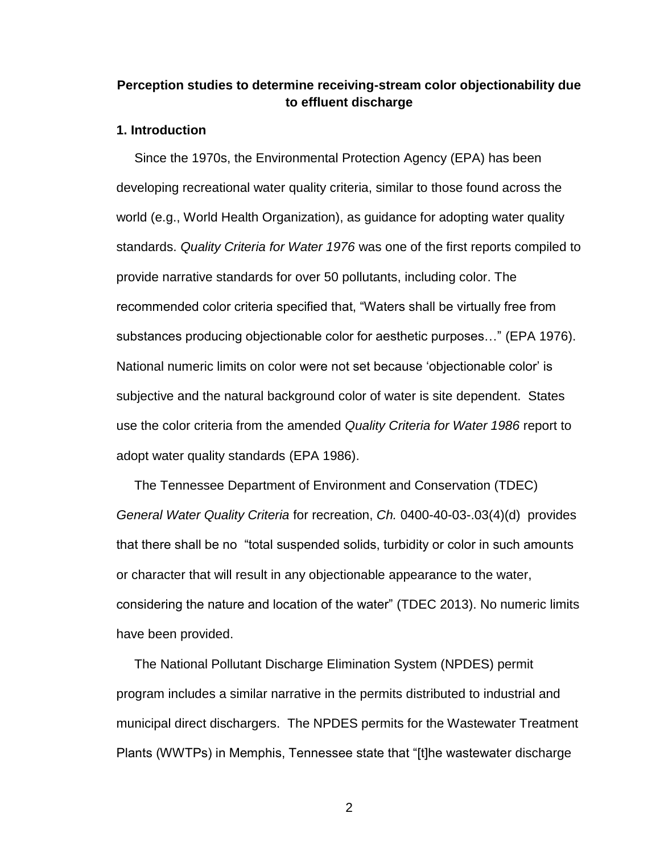# **Perception studies to determine receiving-stream color objectionability due to effluent discharge**

### **1. Introduction**

 Since the 1970s, the Environmental Protection Agency (EPA) has been developing recreational water quality criteria, similar to those found across the world (e.g., World Health Organization), as guidance for adopting water quality standards. *Quality Criteria for Water 1976* was one of the first reports compiled to provide narrative standards for over 50 pollutants, including color. The recommended color criteria specified that, "Waters shall be virtually free from substances producing objectionable color for aesthetic purposes…" (EPA 1976). National numeric limits on color were not set because 'objectionable color' is subjective and the natural background color of water is site dependent. States use the color criteria from the amended *Quality Criteria for Water 1986* report to adopt water quality standards (EPA 1986).

 The Tennessee Department of Environment and Conservation (TDEC) *General Water Quality Criteria* for recreation, *Ch.* 0400-40-03-.03(4)(d) provides that there shall be no "total suspended solids, turbidity or color in such amounts or character that will result in any objectionable appearance to the water, considering the nature and location of the water" (TDEC 2013). No numeric limits have been provided.

 The National Pollutant Discharge Elimination System (NPDES) permit program includes a similar narrative in the permits distributed to industrial and municipal direct dischargers. The NPDES permits for the Wastewater Treatment Plants (WWTPs) in Memphis, Tennessee state that "[t]he wastewater discharge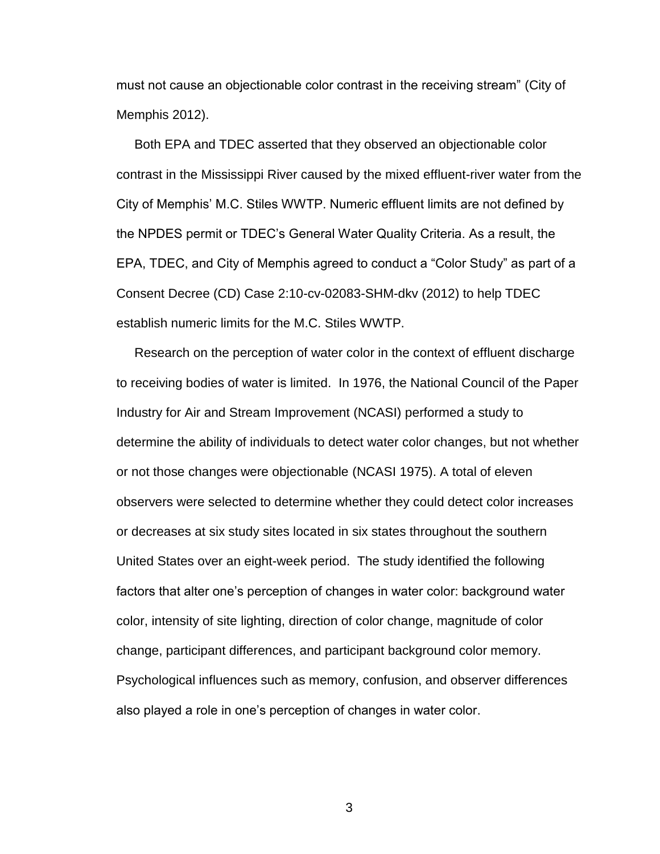must not cause an objectionable color contrast in the receiving stream" (City of Memphis 2012).

 Both EPA and TDEC asserted that they observed an objectionable color contrast in the Mississippi River caused by the mixed effluent-river water from the City of Memphis' M.C. Stiles WWTP. Numeric effluent limits are not defined by the NPDES permit or TDEC's General Water Quality Criteria. As a result, the EPA, TDEC, and City of Memphis agreed to conduct a "Color Study" as part of a Consent Decree (CD) Case 2:10-cv-02083-SHM-dkv (2012) to help TDEC establish numeric limits for the M.C. Stiles WWTP.

 Research on the perception of water color in the context of effluent discharge to receiving bodies of water is limited. In 1976, the National Council of the Paper Industry for Air and Stream Improvement (NCASI) performed a study to determine the ability of individuals to detect water color changes, but not whether or not those changes were objectionable (NCASI 1975). A total of eleven observers were selected to determine whether they could detect color increases or decreases at six study sites located in six states throughout the southern United States over an eight-week period. The study identified the following factors that alter one's perception of changes in water color: background water color, intensity of site lighting, direction of color change, magnitude of color change, participant differences, and participant background color memory. Psychological influences such as memory, confusion, and observer differences also played a role in one's perception of changes in water color.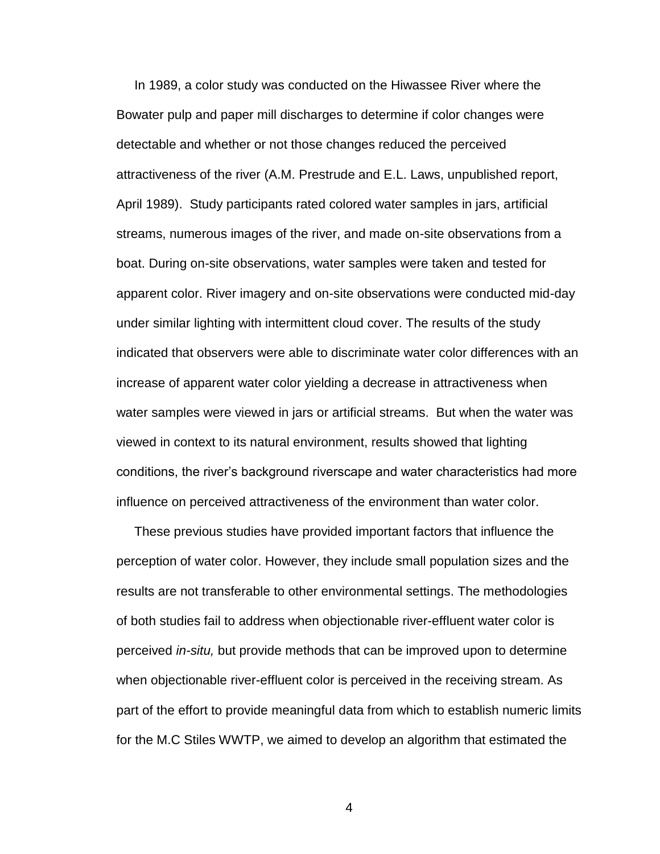In 1989, a color study was conducted on the Hiwassee River where the Bowater pulp and paper mill discharges to determine if color changes were detectable and whether or not those changes reduced the perceived attractiveness of the river (A.M. Prestrude and E.L. Laws, unpublished report, April 1989). Study participants rated colored water samples in jars, artificial streams, numerous images of the river, and made on-site observations from a boat. During on-site observations, water samples were taken and tested for apparent color. River imagery and on-site observations were conducted mid-day under similar lighting with intermittent cloud cover. The results of the study indicated that observers were able to discriminate water color differences with an increase of apparent water color yielding a decrease in attractiveness when water samples were viewed in jars or artificial streams. But when the water was viewed in context to its natural environment, results showed that lighting conditions, the river's background riverscape and water characteristics had more influence on perceived attractiveness of the environment than water color.

 These previous studies have provided important factors that influence the perception of water color. However, they include small population sizes and the results are not transferable to other environmental settings. The methodologies of both studies fail to address when objectionable river-effluent water color is perceived *in-situ,* but provide methods that can be improved upon to determine when objectionable river-effluent color is perceived in the receiving stream. As part of the effort to provide meaningful data from which to establish numeric limits for the M.C Stiles WWTP, we aimed to develop an algorithm that estimated the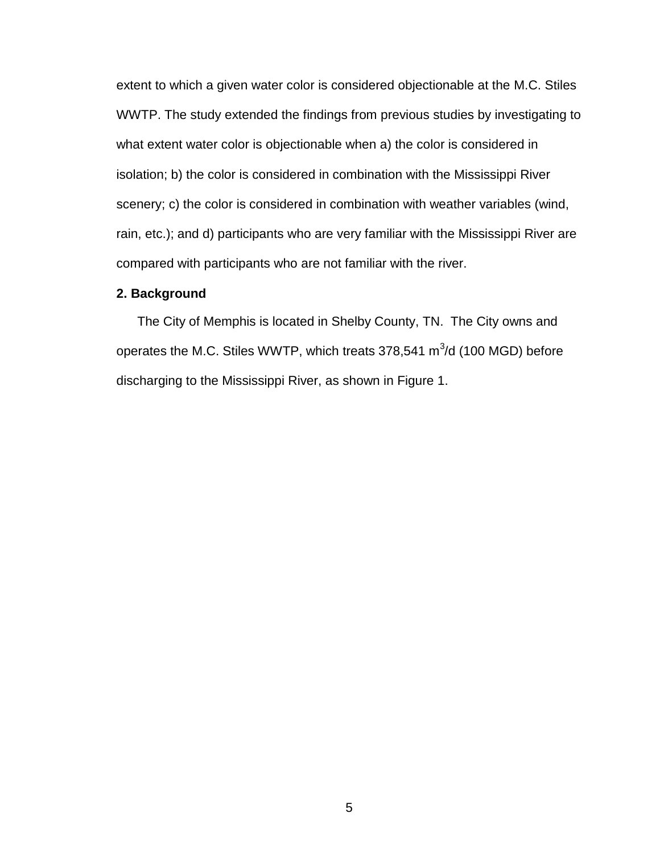extent to which a given water color is considered objectionable at the M.C. Stiles WWTP. The study extended the findings from previous studies by investigating to what extent water color is objectionable when a) the color is considered in isolation; b) the color is considered in combination with the Mississippi River scenery; c) the color is considered in combination with weather variables (wind, rain, etc.); and d) participants who are very familiar with the Mississippi River are compared with participants who are not familiar with the river.

## **2. Background**

 The City of Memphis is located in Shelby County, TN. The City owns and operates the M.C. Stiles WWTP, which treats 378,541  $\text{m}^3$ /d (100 MGD) before discharging to the Mississippi River, as shown in Figure 1.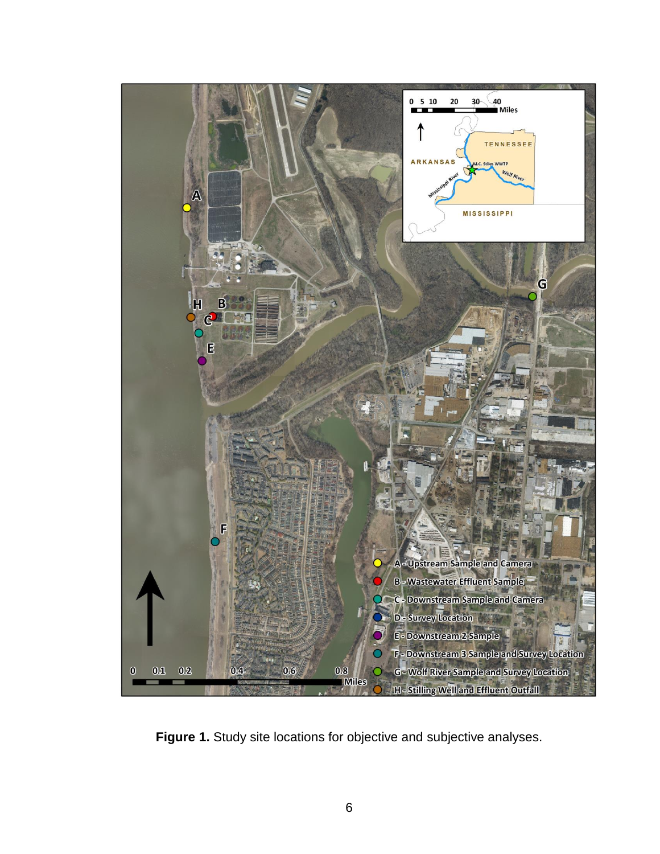

**Figure 1.** Study site locations for objective and subjective analyses.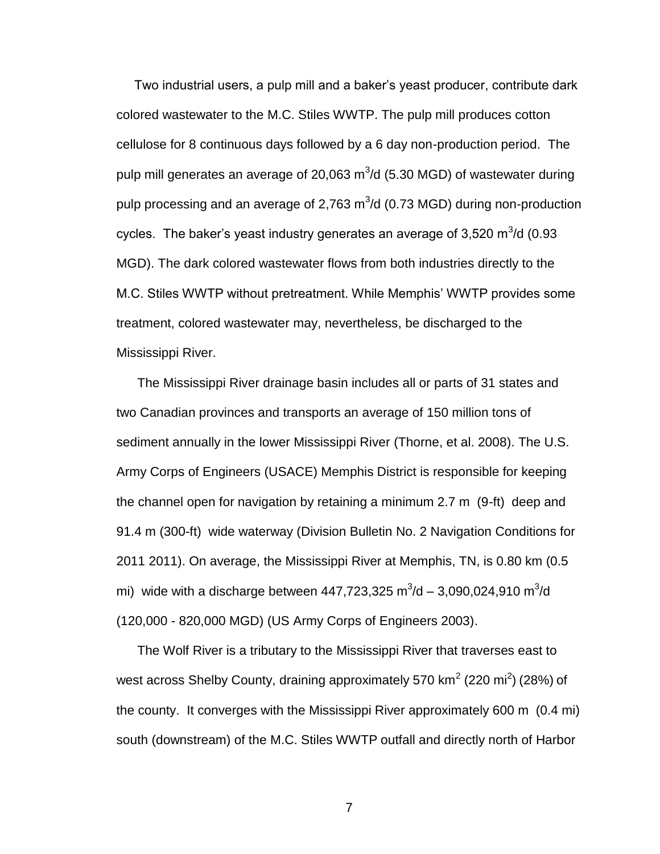Two industrial users, a pulp mill and a baker's yeast producer, contribute dark colored wastewater to the M.C. Stiles WWTP. The pulp mill produces cotton cellulose for 8 continuous days followed by a 6 day non-production period. The pulp mill generates an average of 20,063 m $3/$ d (5.30 MGD) of wastewater during pulp processing and an average of 2,763 m<sup>3</sup>/d (0.73 MGD) during non-production cycles. The baker's yeast industry generates an average of 3,520  $m^3/d$  (0.93 MGD). The dark colored wastewater flows from both industries directly to the M.C. Stiles WWTP without pretreatment. While Memphis' WWTP provides some treatment, colored wastewater may, nevertheless, be discharged to the Mississippi River.

 The Mississippi River drainage basin includes all or parts of 31 states and two Canadian provinces and transports an average of 150 million tons of sediment annually in the lower Mississippi River (Thorne, et al. 2008). The U.S. Army Corps of Engineers (USACE) Memphis District is responsible for keeping the channel open for navigation by retaining a minimum 2.7 m (9-ft) deep and 91.4 m (300-ft) wide waterway (Division Bulletin No. 2 Navigation Conditions for 2011 2011). On average, the Mississippi River at Memphis, TN, is 0.80 km (0.5 mi) wide with a discharge between 447,723,325 m<sup>3</sup>/d – 3,090,024,910 m<sup>3</sup>/d (120,000 - 820,000 MGD) (US Army Corps of Engineers 2003).

 The Wolf River is a tributary to the Mississippi River that traverses east to west across Shelby County, draining approximately 570 km<sup>2</sup> (220 mi<sup>2</sup>) (28%) of the county. It converges with the Mississippi River approximately 600 m (0.4 mi) south (downstream) of the M.C. Stiles WWTP outfall and directly north of Harbor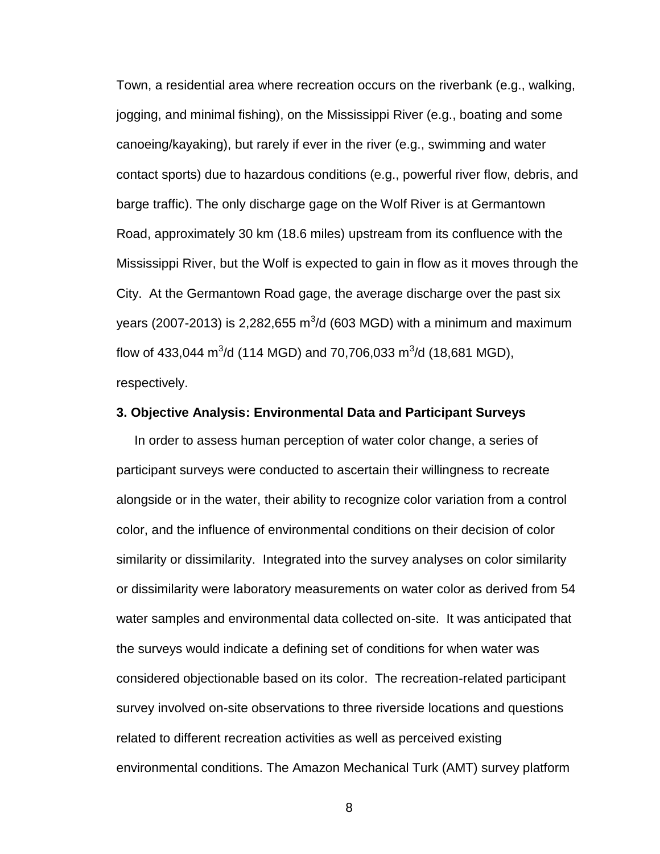Town, a residential area where recreation occurs on the riverbank (e.g., walking, jogging, and minimal fishing), on the Mississippi River (e.g., boating and some canoeing/kayaking), but rarely if ever in the river (e.g., swimming and water contact sports) due to hazardous conditions (e.g., powerful river flow, debris, and barge traffic). The only discharge gage on the Wolf River is at Germantown Road, approximately 30 km (18.6 miles) upstream from its confluence with the Mississippi River, but the Wolf is expected to gain in flow as it moves through the City. At the Germantown Road gage, the average discharge over the past six years (2007-2013) is 2,282,655 m<sup>3</sup>/d (603 MGD) with a minimum and maximum flow of 433,044 m $^3$ /d (114 MGD) and 70,706,033 m $^3$ /d (18,681 MGD), respectively.

# **3. Objective Analysis: Environmental Data and Participant Surveys**

 In order to assess human perception of water color change, a series of participant surveys were conducted to ascertain their willingness to recreate alongside or in the water, their ability to recognize color variation from a control color, and the influence of environmental conditions on their decision of color similarity or dissimilarity. Integrated into the survey analyses on color similarity or dissimilarity were laboratory measurements on water color as derived from 54 water samples and environmental data collected on-site. It was anticipated that the surveys would indicate a defining set of conditions for when water was considered objectionable based on its color. The recreation-related participant survey involved on-site observations to three riverside locations and questions related to different recreation activities as well as perceived existing environmental conditions. The Amazon Mechanical Turk (AMT) survey platform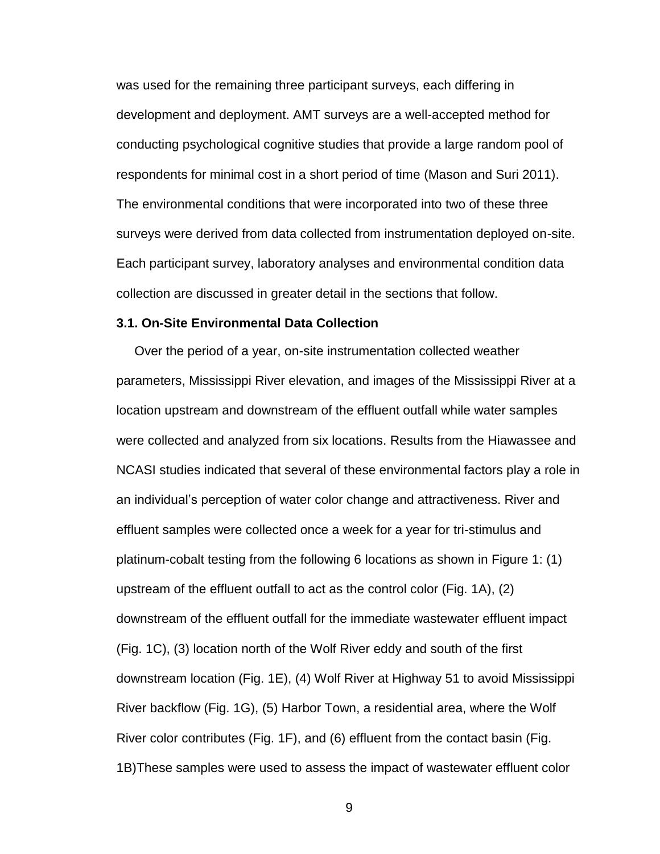was used for the remaining three participant surveys, each differing in development and deployment. AMT surveys are a well-accepted method for conducting psychological cognitive studies that provide a large random pool of respondents for minimal cost in a short period of time (Mason and Suri 2011). The environmental conditions that were incorporated into two of these three surveys were derived from data collected from instrumentation deployed on-site. Each participant survey, laboratory analyses and environmental condition data collection are discussed in greater detail in the sections that follow.

# **3.1. On-Site Environmental Data Collection**

 Over the period of a year, on-site instrumentation collected weather parameters, Mississippi River elevation, and images of the Mississippi River at a location upstream and downstream of the effluent outfall while water samples were collected and analyzed from six locations. Results from the Hiawassee and NCASI studies indicated that several of these environmental factors play a role in an individual's perception of water color change and attractiveness. River and effluent samples were collected once a week for a year for tri-stimulus and platinum-cobalt testing from the following 6 locations as shown in Figure 1: (1) upstream of the effluent outfall to act as the control color (Fig. 1A), (2) downstream of the effluent outfall for the immediate wastewater effluent impact (Fig. 1C), (3) location north of the Wolf River eddy and south of the first downstream location (Fig. 1E), (4) Wolf River at Highway 51 to avoid Mississippi River backflow (Fig. 1G), (5) Harbor Town, a residential area, where the Wolf River color contributes (Fig. 1F), and (6) effluent from the contact basin (Fig. 1B)These samples were used to assess the impact of wastewater effluent color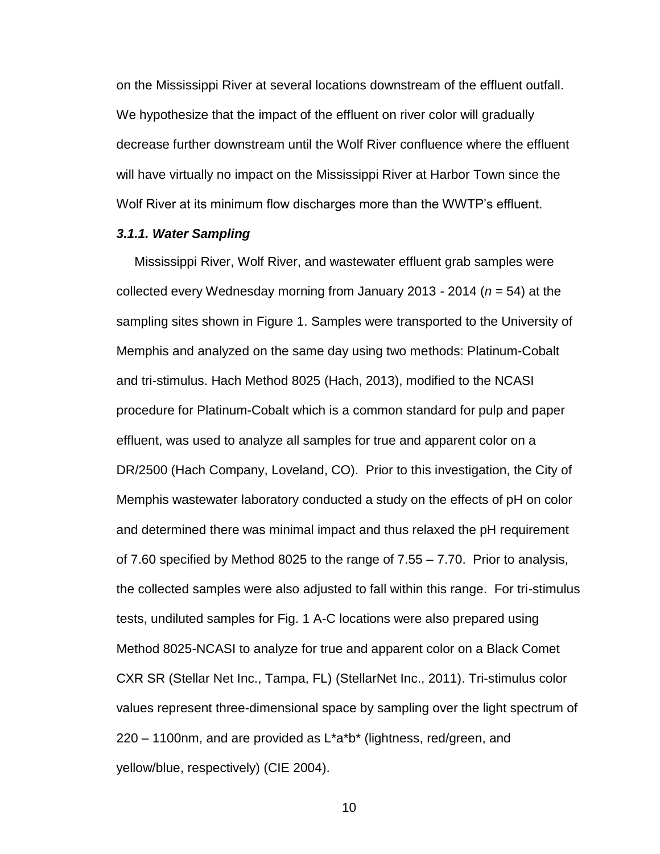on the Mississippi River at several locations downstream of the effluent outfall. We hypothesize that the impact of the effluent on river color will gradually decrease further downstream until the Wolf River confluence where the effluent will have virtually no impact on the Mississippi River at Harbor Town since the Wolf River at its minimum flow discharges more than the WWTP's effluent.

#### *3.1.1. Water Sampling*

 Mississippi River, Wolf River, and wastewater effluent grab samples were collected every Wednesday morning from January 2013 - 2014 (*n* = 54) at the sampling sites shown in Figure 1. Samples were transported to the University of Memphis and analyzed on the same day using two methods: Platinum-Cobalt and tri-stimulus. Hach Method 8025 (Hach, 2013), modified to the NCASI procedure for Platinum-Cobalt which is a common standard for pulp and paper effluent, was used to analyze all samples for true and apparent color on a DR/2500 (Hach Company, Loveland, CO). Prior to this investigation, the City of Memphis wastewater laboratory conducted a study on the effects of pH on color and determined there was minimal impact and thus relaxed the pH requirement of 7.60 specified by Method 8025 to the range of 7.55 – 7.70. Prior to analysis, the collected samples were also adjusted to fall within this range. For tri-stimulus tests, undiluted samples for Fig. 1 A-C locations were also prepared using Method 8025-NCASI to analyze for true and apparent color on a Black Comet CXR SR (Stellar Net Inc., Tampa, FL) (StellarNet Inc., 2011). Tri-stimulus color values represent three-dimensional space by sampling over the light spectrum of 220 – 1100nm, and are provided as L\*a\*b\* (lightness, red/green, and yellow/blue, respectively) (CIE 2004).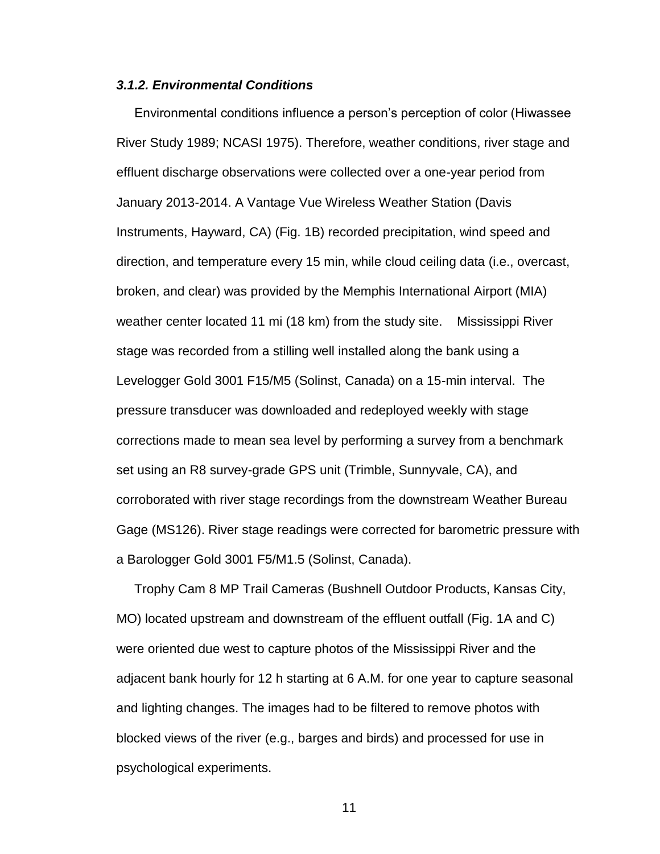# *3.1.2. Environmental Conditions*

 Environmental conditions influence a person's perception of color (Hiwassee River Study 1989; NCASI 1975). Therefore, weather conditions, river stage and effluent discharge observations were collected over a one-year period from January 2013-2014. A Vantage Vue Wireless Weather Station (Davis Instruments, Hayward, CA) (Fig. 1B) recorded precipitation, wind speed and direction, and temperature every 15 min, while cloud ceiling data (i.e., overcast, broken, and clear) was provided by the Memphis International Airport (MIA) weather center located 11 mi (18 km) from the study site. Mississippi River stage was recorded from a stilling well installed along the bank using a Levelogger Gold 3001 F15/M5 (Solinst, Canada) on a 15-min interval. The pressure transducer was downloaded and redeployed weekly with stage corrections made to mean sea level by performing a survey from a benchmark set using an R8 survey-grade GPS unit (Trimble, Sunnyvale, CA), and corroborated with river stage recordings from the downstream Weather Bureau Gage (MS126). River stage readings were corrected for barometric pressure with a Barologger Gold 3001 F5/M1.5 (Solinst, Canada).

 Trophy Cam 8 MP Trail Cameras (Bushnell Outdoor Products, Kansas City, MO) located upstream and downstream of the effluent outfall (Fig. 1A and C) were oriented due west to capture photos of the Mississippi River and the adjacent bank hourly for 12 h starting at 6 A.M. for one year to capture seasonal and lighting changes. The images had to be filtered to remove photos with blocked views of the river (e.g., barges and birds) and processed for use in psychological experiments.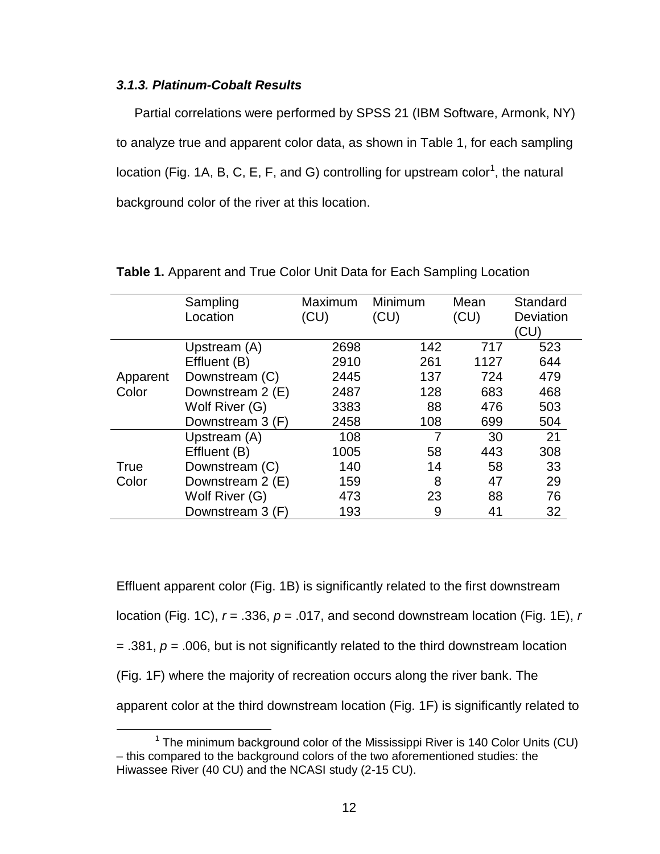# *3.1.3. Platinum-Cobalt Results*

 $\overline{a}$ 

 Partial correlations were performed by SPSS 21 (IBM Software, Armonk, NY) to analyze true and apparent color data, as shown in Table 1, for each sampling location (Fig. 1A, B, C, E, F, and G) controlling for upstream color<sup>1</sup>, the natural background color of the river at this location.

|          | Sampling         | Maximum | Minimum | Mean | Standard  |
|----------|------------------|---------|---------|------|-----------|
|          | Location         | (CU)    | (CU)    | (CU) | Deviation |
|          |                  |         |         |      | (CU)      |
|          | Upstream (A)     | 2698    | 142     | 717  | 523       |
|          | Effluent (B)     | 2910    | 261     | 1127 | 644       |
| Apparent | Downstream (C)   | 2445    | 137     | 724  | 479       |
| Color    | Downstream 2 (E) | 2487    | 128     | 683  | 468       |
|          | Wolf River (G)   | 3383    | 88      | 476  | 503       |
|          | Downstream 3 (F) | 2458    | 108     | 699  | 504       |
|          | Upstream (A)     | 108     | 7       | 30   | 21        |
|          | Effluent (B)     | 1005    | 58      | 443  | 308       |
| True     | Downstream (C)   | 140     | 14      | 58   | 33        |
| Color    | Downstream 2 (E) | 159     | 8       | 47   | 29        |
|          | Wolf River (G)   | 473     | 23      | 88   | 76        |
|          | Downstream 3 (F) | 193     | 9       | 41   | 32        |

|  | Table 1. Apparent and True Color Unit Data for Each Sampling Location |  |  |  |  |  |
|--|-----------------------------------------------------------------------|--|--|--|--|--|
|--|-----------------------------------------------------------------------|--|--|--|--|--|

Effluent apparent color (Fig. 1B) is significantly related to the first downstream location (Fig. 1C), *r* = .336, *p* = .017, and second downstream location (Fig. 1E), *r* = .381, *p* = .006, but is not significantly related to the third downstream location (Fig. 1F) where the majority of recreation occurs along the river bank. The apparent color at the third downstream location (Fig. 1F) is significantly related to

 $1$  The minimum background color of the Mississippi River is 140 Color Units (CU) – this compared to the background colors of the two aforementioned studies: the Hiwassee River (40 CU) and the NCASI study (2-15 CU).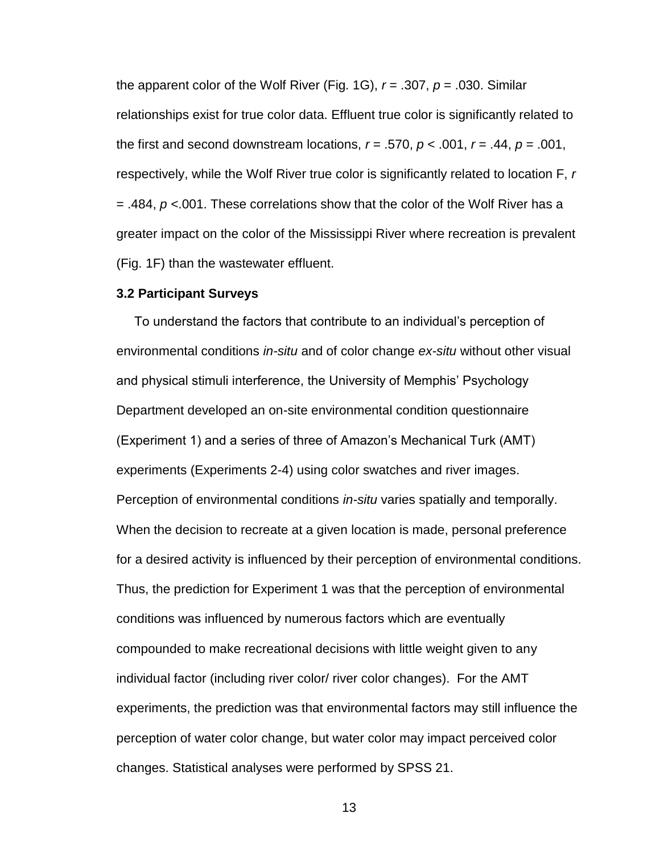the apparent color of the Wolf River (Fig. 1G), *r* = .307, *p* = .030. Similar relationships exist for true color data. Effluent true color is significantly related to the first and second downstream locations,  $r = .570$ ,  $p < .001$ ,  $r = .44$ ,  $p = .001$ , respectively, while the Wolf River true color is significantly related to location F, *r* = .484, *p* <.001. These correlations show that the color of the Wolf River has a greater impact on the color of the Mississippi River where recreation is prevalent (Fig. 1F) than the wastewater effluent.

#### **3.2 Participant Surveys**

 To understand the factors that contribute to an individual's perception of environmental conditions *in-situ* and of color change *ex-situ* without other visual and physical stimuli interference, the University of Memphis' Psychology Department developed an on-site environmental condition questionnaire (Experiment 1) and a series of three of Amazon's Mechanical Turk (AMT) experiments (Experiments 2-4) using color swatches and river images. Perception of environmental conditions *in-situ* varies spatially and temporally. When the decision to recreate at a given location is made, personal preference for a desired activity is influenced by their perception of environmental conditions. Thus, the prediction for Experiment 1 was that the perception of environmental conditions was influenced by numerous factors which are eventually compounded to make recreational decisions with little weight given to any individual factor (including river color/ river color changes). For the AMT experiments, the prediction was that environmental factors may still influence the perception of water color change, but water color may impact perceived color changes. Statistical analyses were performed by SPSS 21.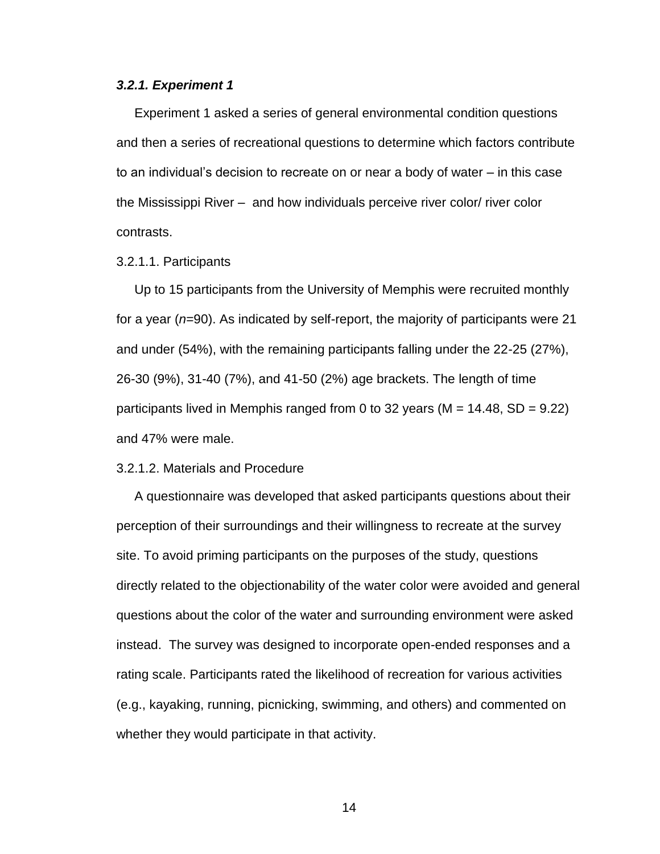# *3.2.1. Experiment 1*

 Experiment 1 asked a series of general environmental condition questions and then a series of recreational questions to determine which factors contribute to an individual's decision to recreate on or near a body of water – in this case the Mississippi River – and how individuals perceive river color/ river color contrasts.

#### 3.2.1.1. Participants

 Up to 15 participants from the University of Memphis were recruited monthly for a year (*n*=90). As indicated by self-report, the majority of participants were 21 and under (54%), with the remaining participants falling under the 22-25 (27%), 26-30 (9%), 31-40 (7%), and 41-50 (2%) age brackets. The length of time participants lived in Memphis ranged from 0 to 32 years ( $M = 14.48$ , SD = 9.22) and 47% were male.

# 3.2.1.2. Materials and Procedure

 A questionnaire was developed that asked participants questions about their perception of their surroundings and their willingness to recreate at the survey site. To avoid priming participants on the purposes of the study, questions directly related to the objectionability of the water color were avoided and general questions about the color of the water and surrounding environment were asked instead. The survey was designed to incorporate open-ended responses and a rating scale. Participants rated the likelihood of recreation for various activities (e.g., kayaking, running, picnicking, swimming, and others) and commented on whether they would participate in that activity.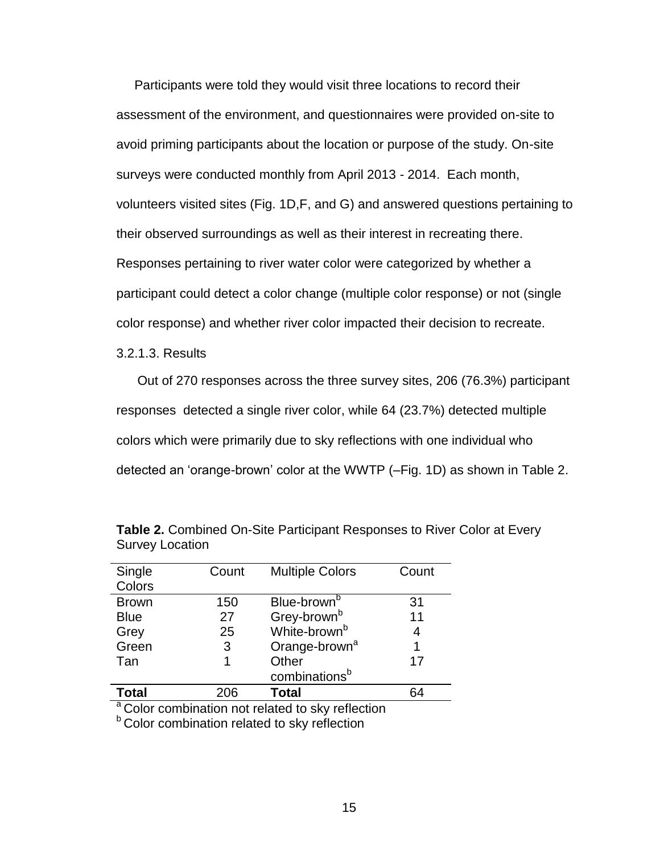Participants were told they would visit three locations to record their assessment of the environment, and questionnaires were provided on-site to avoid priming participants about the location or purpose of the study. On-site surveys were conducted monthly from April 2013 - 2014. Each month, volunteers visited sites (Fig. 1D,F, and G) and answered questions pertaining to their observed surroundings as well as their interest in recreating there. Responses pertaining to river water color were categorized by whether a participant could detect a color change (multiple color response) or not (single color response) and whether river color impacted their decision to recreate.

3.2.1.3. Results

 Out of 270 responses across the three survey sites, 206 (76.3%) participant responses detected a single river color, while 64 (23.7%) detected multiple colors which were primarily due to sky reflections with one individual who detected an 'orange-brown' color at the WWTP (–Fig. 1D) as shown in Table 2.

| Single                                                       | Count | <b>Multiple Colors</b>    | Count |  |  |
|--------------------------------------------------------------|-------|---------------------------|-------|--|--|
| Colors                                                       |       |                           |       |  |  |
| <b>Brown</b>                                                 | 150   | Blue-brown <sup>b</sup>   | 31    |  |  |
| <b>Blue</b>                                                  | 27    | Grey-brown <sup>b</sup>   | 11    |  |  |
| Grey                                                         | 25    | White-brown <sup>b</sup>  | 4     |  |  |
| Green                                                        | 3     | Orange-brown <sup>a</sup> |       |  |  |
| Tan                                                          |       | Other                     | 17    |  |  |
|                                                              |       | combinations <sup>b</sup> |       |  |  |
| <b>Total</b>                                                 | 206   | <b>Total</b>              | 64    |  |  |
| <sup>a</sup> Color combination not related to sky reflection |       |                           |       |  |  |

**Table 2.** Combined On-Site Participant Responses to River Color at Every Survey Location

**b** Color combination related to sky reflection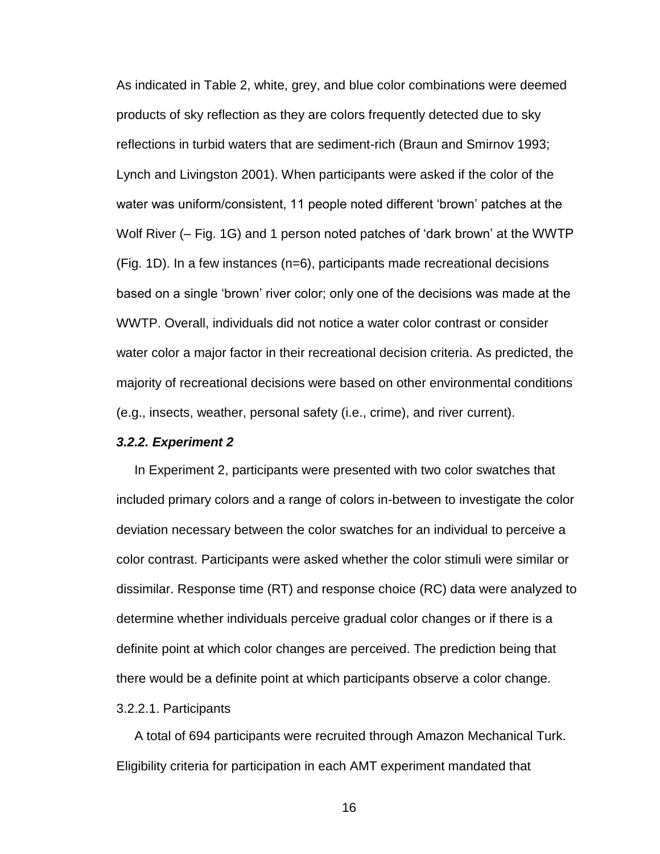As indicated in Table 2, white, grey, and blue color combinations were deemed products of sky reflection as they are colors frequently detected due to sky reflections in turbid waters that are sediment-rich (Braun and Smirnov 1993; Lynch and Livingston 2001). When participants were asked if the color of the water was uniform/consistent, 11 people noted different 'brown' patches at the Wolf River (– Fig. 1G) and 1 person noted patches of 'dark brown' at the WWTP (Fig. 1D). In a few instances (n=6), participants made recreational decisions based on a single 'brown' river color; only one of the decisions was made at the WWTP. Overall, individuals did not notice a water color contrast or consider water color a major factor in their recreational decision criteria. As predicted, the majority of recreational decisions were based on other environmental conditions (e.g., insects, weather, personal safety (i.e., crime), and river current).

#### *3.2.2. Experiment 2*

 In Experiment 2, participants were presented with two color swatches that included primary colors and a range of colors in-between to investigate the color deviation necessary between the color swatches for an individual to perceive a color contrast. Participants were asked whether the color stimuli were similar or dissimilar. Response time (RT) and response choice (RC) data were analyzed to determine whether individuals perceive gradual color changes or if there is a definite point at which color changes are perceived. The prediction being that there would be a definite point at which participants observe a color change.

# 3.2.2.1. Participants

 A total of 694 participants were recruited through Amazon Mechanical Turk. Eligibility criteria for participation in each AMT experiment mandated that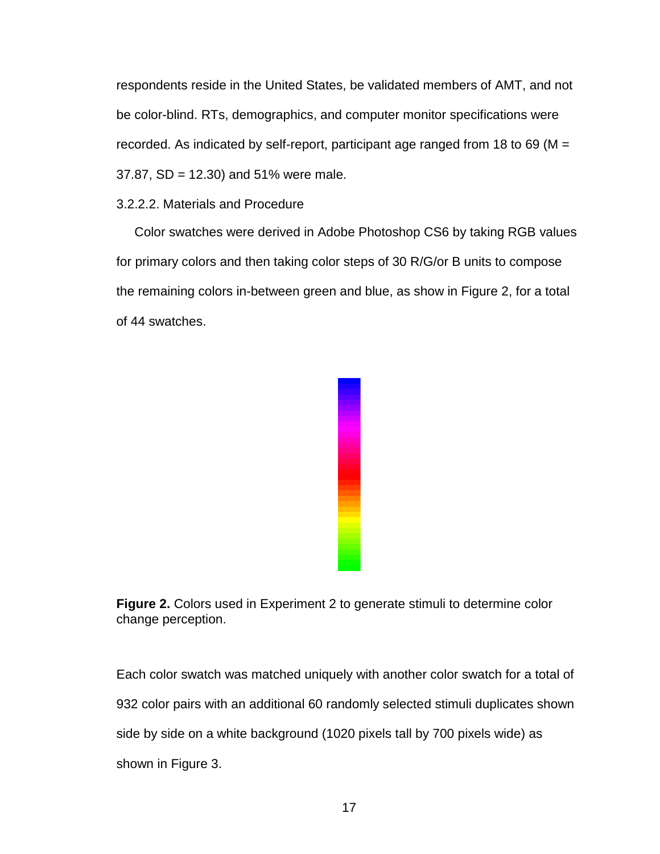respondents reside in the United States, be validated members of AMT, and not be color-blind. RTs, demographics, and computer monitor specifications were recorded. As indicated by self-report, participant age ranged from 18 to 69 ( $M =$  $37.87$ ,  $SD = 12.30$ ) and  $51\%$  were male.

# 3.2.2.2. Materials and Procedure

 Color swatches were derived in Adobe Photoshop CS6 by taking RGB values for primary colors and then taking color steps of 30 R/G/or B units to compose the remaining colors in-between green and blue, as show in Figure 2, for a total of 44 swatches.



**Figure 2.** Colors used in Experiment 2 to generate stimuli to determine color change perception.

Each color swatch was matched uniquely with another color swatch for a total of 932 color pairs with an additional 60 randomly selected stimuli duplicates shown side by side on a white background (1020 pixels tall by 700 pixels wide) as shown in Figure 3.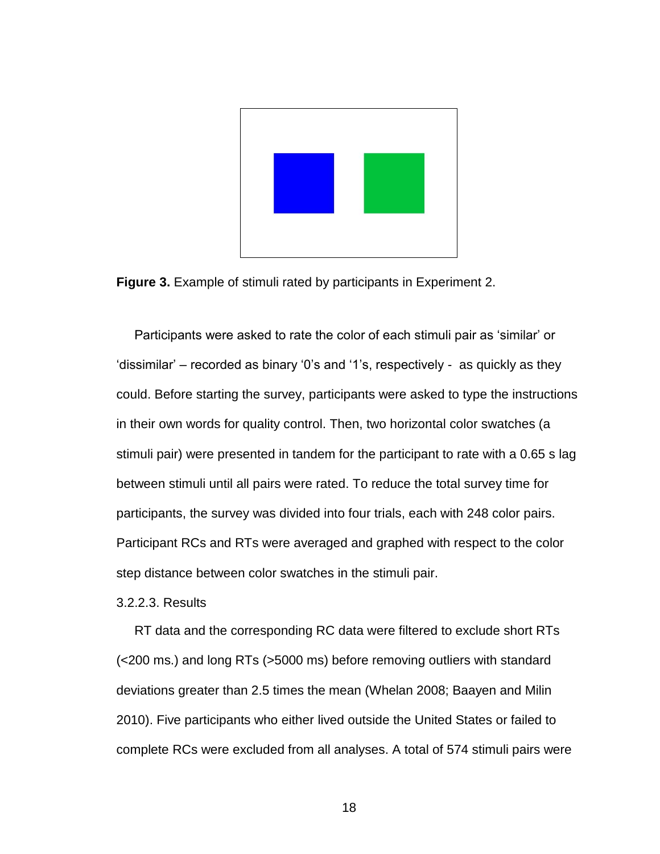

**Figure 3.** Example of stimuli rated by participants in Experiment 2.

 Participants were asked to rate the color of each stimuli pair as 'similar' or 'dissimilar' – recorded as binary '0's and '1's, respectively - as quickly as they could. Before starting the survey, participants were asked to type the instructions in their own words for quality control. Then, two horizontal color swatches (a stimuli pair) were presented in tandem for the participant to rate with a 0.65 s lag between stimuli until all pairs were rated. To reduce the total survey time for participants, the survey was divided into four trials, each with 248 color pairs. Participant RCs and RTs were averaged and graphed with respect to the color step distance between color swatches in the stimuli pair.

# 3.2.2.3. Results

 RT data and the corresponding RC data were filtered to exclude short RTs (<200 ms.) and long RTs (>5000 ms) before removing outliers with standard deviations greater than 2.5 times the mean (Whelan 2008; Baayen and Milin 2010). Five participants who either lived outside the United States or failed to complete RCs were excluded from all analyses. A total of 574 stimuli pairs were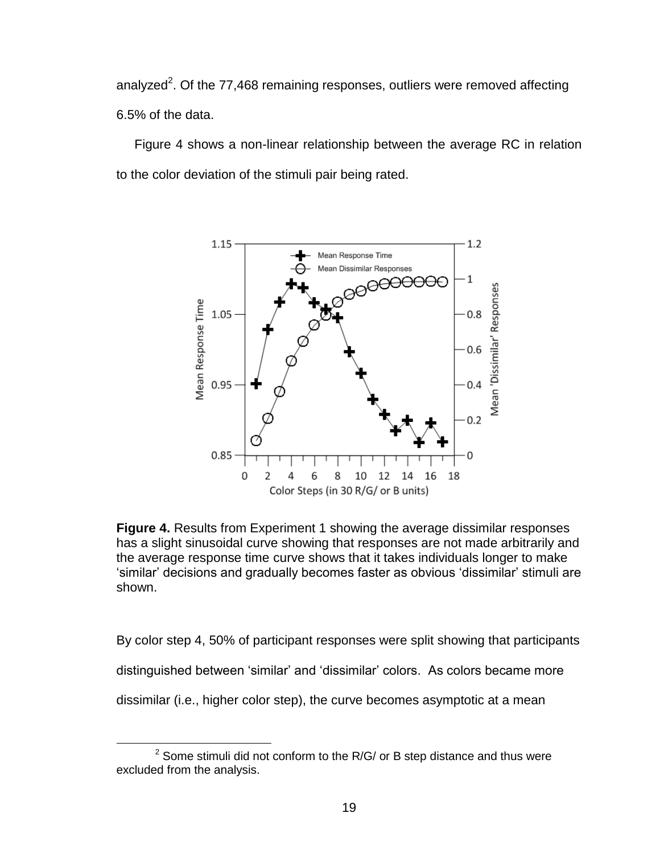analyzed<sup>2</sup>. Of the 77,468 remaining responses, outliers were removed affecting 6.5% of the data.

 Figure 4 shows a non-linear relationship between the average RC in relation to the color deviation of the stimuli pair being rated.



**Figure 4.** Results from Experiment 1 showing the average dissimilar responses has a slight sinusoidal curve showing that responses are not made arbitrarily and the average response time curve shows that it takes individuals longer to make 'similar' decisions and gradually becomes faster as obvious 'dissimilar' stimuli are shown.

By color step 4, 50% of participant responses were split showing that participants distinguished between 'similar' and 'dissimilar' colors. As colors became more dissimilar (i.e., higher color step), the curve becomes asymptotic at a mean

 $\overline{\phantom{a}}$ 

 $2$  Some stimuli did not conform to the R/G/ or B step distance and thus were excluded from the analysis.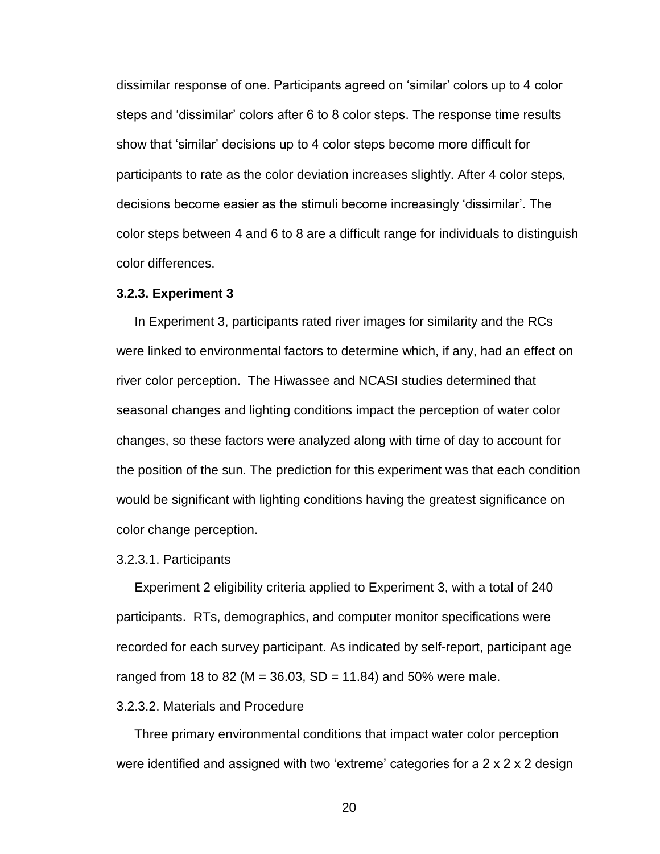dissimilar response of one. Participants agreed on 'similar' colors up to 4 color steps and 'dissimilar' colors after 6 to 8 color steps. The response time results show that 'similar' decisions up to 4 color steps become more difficult for participants to rate as the color deviation increases slightly. After 4 color steps, decisions become easier as the stimuli become increasingly 'dissimilar'. The color steps between 4 and 6 to 8 are a difficult range for individuals to distinguish color differences.

#### **3.2.3. Experiment 3**

 In Experiment 3, participants rated river images for similarity and the RCs were linked to environmental factors to determine which, if any, had an effect on river color perception. The Hiwassee and NCASI studies determined that seasonal changes and lighting conditions impact the perception of water color changes, so these factors were analyzed along with time of day to account for the position of the sun. The prediction for this experiment was that each condition would be significant with lighting conditions having the greatest significance on color change perception.

#### 3.2.3.1. Participants

 Experiment 2 eligibility criteria applied to Experiment 3, with a total of 240 participants. RTs, demographics, and computer monitor specifications were recorded for each survey participant. As indicated by self-report, participant age ranged from 18 to 82 (M = 36.03, SD = 11.84) and 50% were male.

# 3.2.3.2. Materials and Procedure

 Three primary environmental conditions that impact water color perception were identified and assigned with two 'extreme' categories for a 2 x 2 x 2 design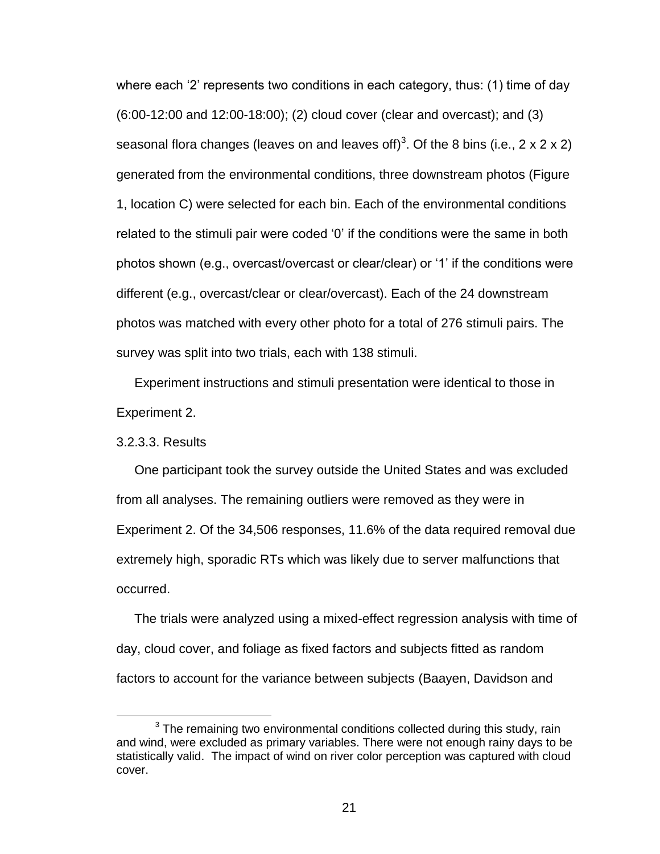where each '2' represents two conditions in each category, thus: (1) time of day (6:00-12:00 and 12:00-18:00); (2) cloud cover (clear and overcast); and (3) seasonal flora changes (leaves on and leaves off)<sup>3</sup>. Of the 8 bins (i.e., 2 x 2 x 2) generated from the environmental conditions, three downstream photos (Figure 1, location C) were selected for each bin. Each of the environmental conditions related to the stimuli pair were coded '0' if the conditions were the same in both photos shown (e.g., overcast/overcast or clear/clear) or '1' if the conditions were different (e.g., overcast/clear or clear/overcast). Each of the 24 downstream photos was matched with every other photo for a total of 276 stimuli pairs. The survey was split into two trials, each with 138 stimuli.

 Experiment instructions and stimuli presentation were identical to those in Experiment 2.

3.2.3.3. Results

l

 One participant took the survey outside the United States and was excluded from all analyses. The remaining outliers were removed as they were in Experiment 2. Of the 34,506 responses, 11.6% of the data required removal due extremely high, sporadic RTs which was likely due to server malfunctions that occurred.

 The trials were analyzed using a mixed-effect regression analysis with time of day, cloud cover, and foliage as fixed factors and subjects fitted as random factors to account for the variance between subjects (Baayen, Davidson and

 $3$  The remaining two environmental conditions collected during this study, rain and wind, were excluded as primary variables. There were not enough rainy days to be statistically valid. The impact of wind on river color perception was captured with cloud cover.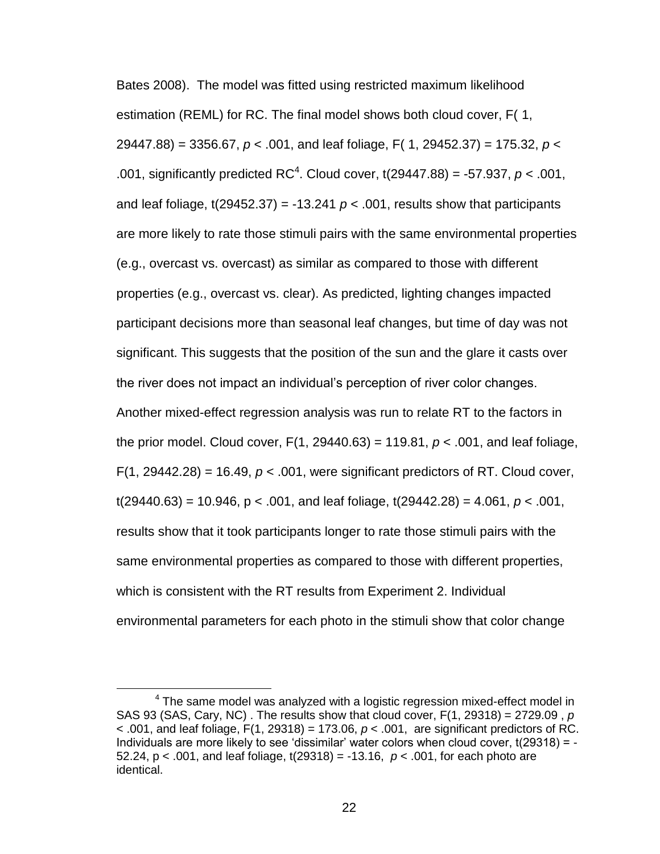Bates 2008). The model was fitted using restricted maximum likelihood estimation (REML) for RC. The final model shows both cloud cover, F( 1, 29447.88) = 3356.67, *p* < .001, and leaf foliage, F( 1, 29452.37) = 175.32, *p* < .001, significantly predicted RC<sup>4</sup>. Cloud cover,  $t(29447.88) = -57.937$ ,  $p < .001$ , and leaf foliage,  $t(29452.37) = -13.241$   $p < .001$ , results show that participants are more likely to rate those stimuli pairs with the same environmental properties (e.g., overcast vs. overcast) as similar as compared to those with different properties (e.g., overcast vs. clear). As predicted, lighting changes impacted participant decisions more than seasonal leaf changes, but time of day was not significant. This suggests that the position of the sun and the glare it casts over the river does not impact an individual's perception of river color changes. Another mixed-effect regression analysis was run to relate RT to the factors in the prior model. Cloud cover, F(1, 29440.63) = 119.81, *p* < .001, and leaf foliage,  $F(1, 29442.28) = 16.49$ ,  $p < .001$ , were significant predictors of RT. Cloud cover, t(29440.63) = 10.946, p < .001, and leaf foliage, t(29442.28) = 4.061, *p* < .001, results show that it took participants longer to rate those stimuli pairs with the same environmental properties as compared to those with different properties, which is consistent with the RT results from Experiment 2. Individual environmental parameters for each photo in the stimuli show that color change

 $\overline{a}$ 

<sup>&</sup>lt;sup>4</sup> The same model was analyzed with a logistic regression mixed-effect model in SAS 93 (SAS, Cary, NC) . The results show that cloud cover, F(1, 29318) = 2729.09 , *p*  < .001, and leaf foliage, F(1, 29318) = 173.06, *p* < .001, are significant predictors of RC. Individuals are more likely to see 'dissimilar' water colors when cloud cover, t(29318) = - 52.24, p < .001, and leaf foliage, t(29318) = -13.16, *p* < .001, for each photo are identical.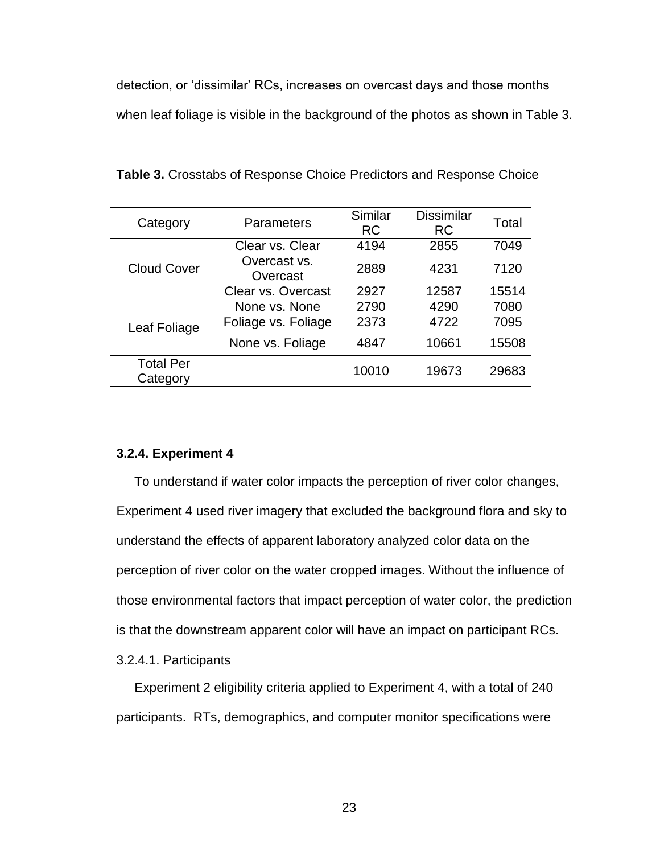detection, or 'dissimilar' RCs, increases on overcast days and those months when leaf foliage is visible in the background of the photos as shown in Table 3.

| Category                     | Parameters               | Similar<br><b>RC</b> | <b>Dissimilar</b><br><b>RC</b> | Total |
|------------------------------|--------------------------|----------------------|--------------------------------|-------|
|                              | Clear vs. Clear          | 4194                 | 2855                           | 7049  |
| <b>Cloud Cover</b>           | Overcast vs.<br>Overcast | 2889                 | 4231                           | 7120  |
|                              | Clear vs. Overcast       | 2927                 | 12587                          | 15514 |
|                              | None vs. None            | 2790                 | 4290                           | 7080  |
| Leaf Foliage                 | Foliage vs. Foliage      | 2373                 | 4722                           | 7095  |
|                              | None vs. Foliage         | 4847                 | 10661                          | 15508 |
| <b>Total Per</b><br>Category |                          | 10010                | 19673                          | 29683 |

**Table 3.** Crosstabs of Response Choice Predictors and Response Choice

# **3.2.4. Experiment 4**

 To understand if water color impacts the perception of river color changes, Experiment 4 used river imagery that excluded the background flora and sky to understand the effects of apparent laboratory analyzed color data on the perception of river color on the water cropped images. Without the influence of those environmental factors that impact perception of water color, the prediction is that the downstream apparent color will have an impact on participant RCs.

# 3.2.4.1. Participants

 Experiment 2 eligibility criteria applied to Experiment 4, with a total of 240 participants. RTs, demographics, and computer monitor specifications were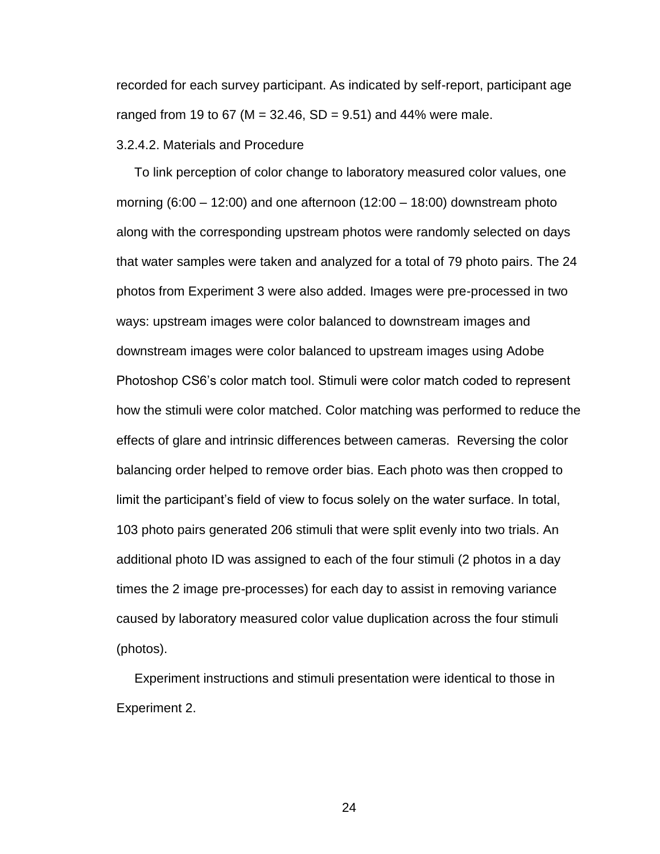recorded for each survey participant. As indicated by self-report, participant age ranged from 19 to 67 (M = 32.46, SD = 9.51) and 44% were male.

## 3.2.4.2. Materials and Procedure

 To link perception of color change to laboratory measured color values, one morning (6:00 – 12:00) and one afternoon (12:00 – 18:00) downstream photo along with the corresponding upstream photos were randomly selected on days that water samples were taken and analyzed for a total of 79 photo pairs. The 24 photos from Experiment 3 were also added. Images were pre-processed in two ways: upstream images were color balanced to downstream images and downstream images were color balanced to upstream images using Adobe Photoshop CS6's color match tool. Stimuli were color match coded to represent how the stimuli were color matched. Color matching was performed to reduce the effects of glare and intrinsic differences between cameras. Reversing the color balancing order helped to remove order bias. Each photo was then cropped to limit the participant's field of view to focus solely on the water surface. In total, 103 photo pairs generated 206 stimuli that were split evenly into two trials. An additional photo ID was assigned to each of the four stimuli (2 photos in a day times the 2 image pre-processes) for each day to assist in removing variance caused by laboratory measured color value duplication across the four stimuli (photos).

 Experiment instructions and stimuli presentation were identical to those in Experiment 2.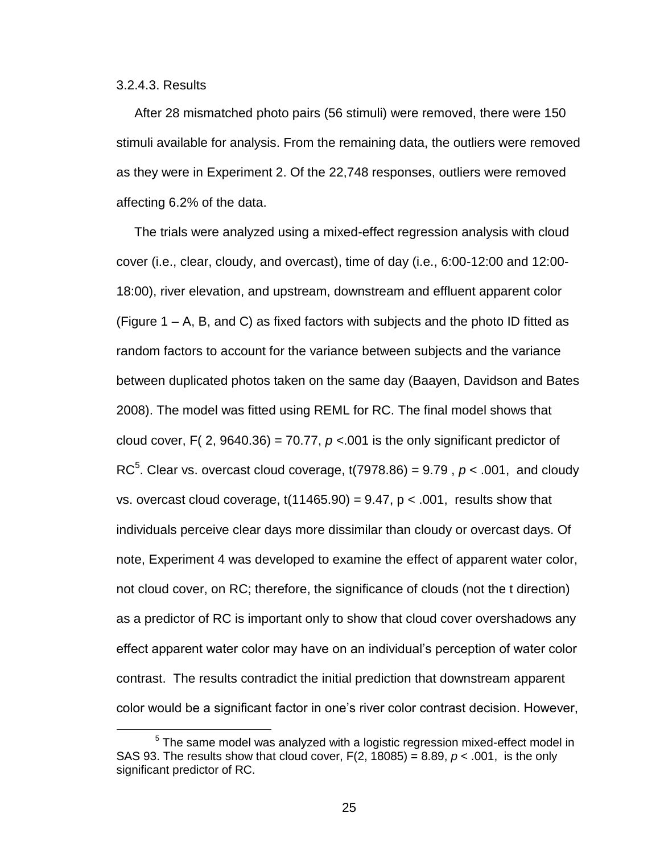# 3.2.4.3. Results

 $\overline{a}$ 

 After 28 mismatched photo pairs (56 stimuli) were removed, there were 150 stimuli available for analysis. From the remaining data, the outliers were removed as they were in Experiment 2. Of the 22,748 responses, outliers were removed affecting 6.2% of the data.

 The trials were analyzed using a mixed-effect regression analysis with cloud cover (i.e., clear, cloudy, and overcast), time of day (i.e., 6:00-12:00 and 12:00- 18:00), river elevation, and upstream, downstream and effluent apparent color (Figure 1 – A, B, and C) as fixed factors with subjects and the photo ID fitted as random factors to account for the variance between subjects and the variance between duplicated photos taken on the same day (Baayen, Davidson and Bates 2008). The model was fitted using REML for RC. The final model shows that cloud cover, F( 2, 9640.36) = 70.77,  $p < 0.01$  is the only significant predictor of RC<sup>5</sup>. Clear vs. overcast cloud coverage,  $t(7978.86) = 9.79$ ,  $p < .001$ , and cloudy vs. overcast cloud coverage,  $t(11465.90) = 9.47$ ,  $p < .001$ , results show that individuals perceive clear days more dissimilar than cloudy or overcast days. Of note, Experiment 4 was developed to examine the effect of apparent water color, not cloud cover, on RC; therefore, the significance of clouds (not the t direction) as a predictor of RC is important only to show that cloud cover overshadows any effect apparent water color may have on an individual's perception of water color contrast. The results contradict the initial prediction that downstream apparent color would be a significant factor in one's river color contrast decision. However,

 $5$  The same model was analyzed with a logistic regression mixed-effect model in SAS 93. The results show that cloud cover, F(2, 18085) = 8.89, *p* < .001, is the only significant predictor of RC.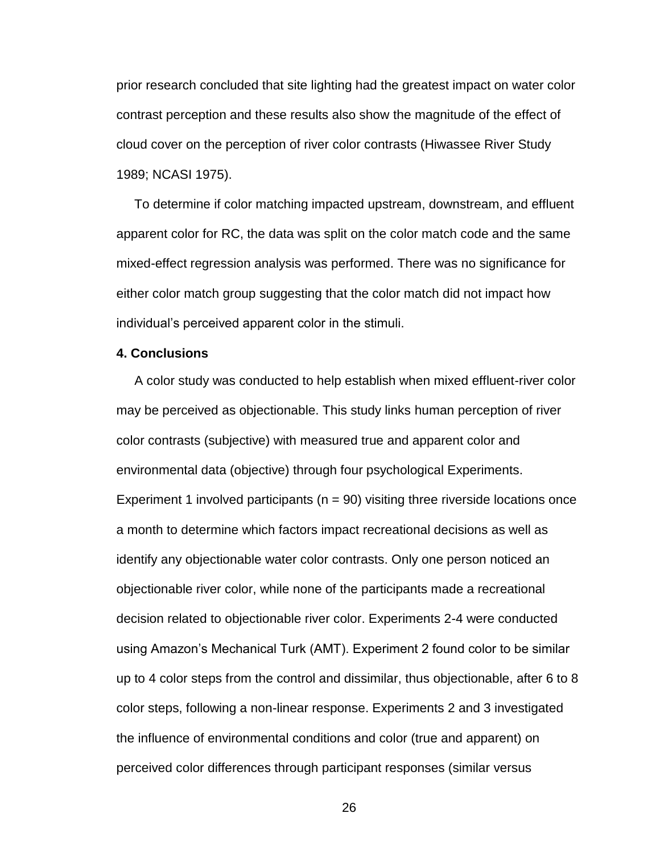prior research concluded that site lighting had the greatest impact on water color contrast perception and these results also show the magnitude of the effect of cloud cover on the perception of river color contrasts (Hiwassee River Study 1989; NCASI 1975).

 To determine if color matching impacted upstream, downstream, and effluent apparent color for RC, the data was split on the color match code and the same mixed-effect regression analysis was performed. There was no significance for either color match group suggesting that the color match did not impact how individual's perceived apparent color in the stimuli.

# **4. Conclusions**

 A color study was conducted to help establish when mixed effluent-river color may be perceived as objectionable. This study links human perception of river color contrasts (subjective) with measured true and apparent color and environmental data (objective) through four psychological Experiments. Experiment 1 involved participants ( $n = 90$ ) visiting three riverside locations once a month to determine which factors impact recreational decisions as well as identify any objectionable water color contrasts. Only one person noticed an objectionable river color, while none of the participants made a recreational decision related to objectionable river color. Experiments 2-4 were conducted using Amazon's Mechanical Turk (AMT). Experiment 2 found color to be similar up to 4 color steps from the control and dissimilar, thus objectionable, after 6 to 8 color steps, following a non-linear response. Experiments 2 and 3 investigated the influence of environmental conditions and color (true and apparent) on perceived color differences through participant responses (similar versus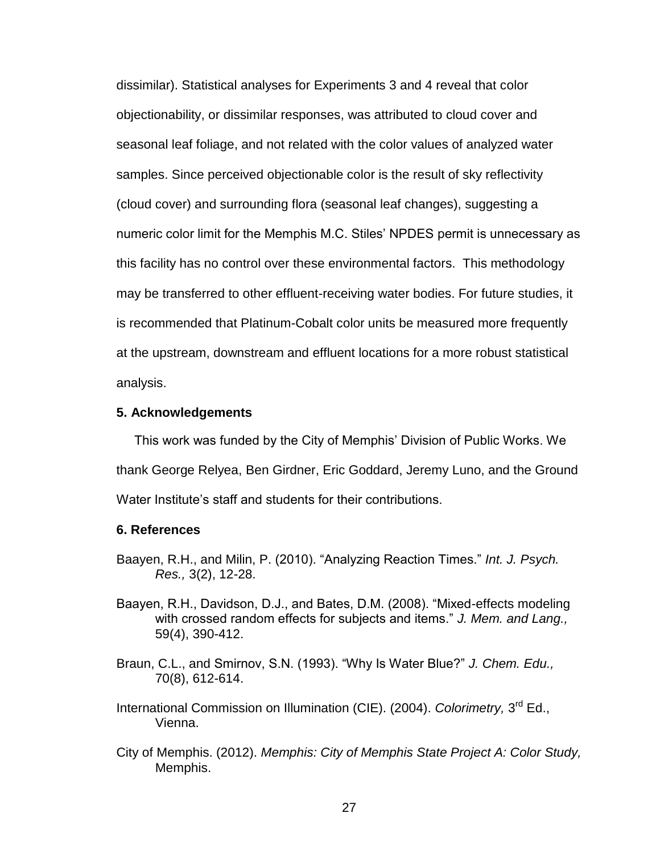dissimilar). Statistical analyses for Experiments 3 and 4 reveal that color objectionability, or dissimilar responses, was attributed to cloud cover and seasonal leaf foliage, and not related with the color values of analyzed water samples. Since perceived objectionable color is the result of sky reflectivity (cloud cover) and surrounding flora (seasonal leaf changes), suggesting a numeric color limit for the Memphis M.C. Stiles' NPDES permit is unnecessary as this facility has no control over these environmental factors. This methodology may be transferred to other effluent-receiving water bodies. For future studies, it is recommended that Platinum-Cobalt color units be measured more frequently at the upstream, downstream and effluent locations for a more robust statistical analysis.

#### **5. Acknowledgements**

 This work was funded by the City of Memphis' Division of Public Works. We thank George Relyea, Ben Girdner, Eric Goddard, Jeremy Luno, and the Ground Water Institute's staff and students for their contributions.

#### **6. References**

- Baayen, R.H., and Milin, P. (2010). "Analyzing Reaction Times." *Int. J. Psych. Res.,* 3(2), 12-28.
- Baayen, R.H., Davidson, D.J., and Bates, D.M. (2008). "Mixed-effects modeling with crossed random effects for subjects and items." *J. Mem. and Lang.,*  59(4), 390-412.
- Braun, C.L., and Smirnov, S.N. (1993). "Why Is Water Blue?" *J. Chem. Edu.,*  70(8), 612-614.
- International Commission on Illumination (CIE). (2004). *Colorimetry,* 3<sup>rd</sup> Ed., Vienna.
- City of Memphis. (2012). *Memphis: City of Memphis State Project A: Color Study,*  Memphis.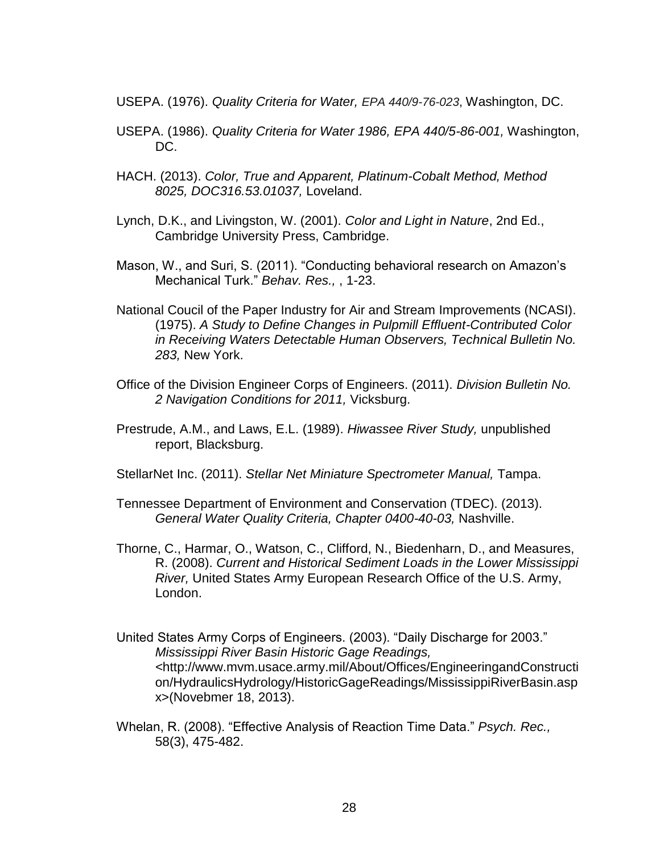- USEPA. (1976). *Quality Criteria for Water, EPA 440/9-76-023*, Washington, DC.
- USEPA. (1986). *Quality Criteria for Water 1986, EPA 440/5-86-001,* Washington, DC.
- HACH. (2013). *Color, True and Apparent, Platinum-Cobalt Method, Method 8025, DOC316.53.01037,* Loveland.
- Lynch, D.K., and Livingston, W. (2001). *Color and Light in Nature*, 2nd Ed., Cambridge University Press, Cambridge.
- Mason, W., and Suri, S. (2011). "Conducting behavioral research on Amazon's Mechanical Turk." *Behav. Res.,* , 1-23.
- National Coucil of the Paper Industry for Air and Stream Improvements (NCASI). (1975). *A Study to Define Changes in Pulpmill Effluent-Contributed Color in Receiving Waters Detectable Human Observers, Technical Bulletin No. 283,* New York.
- Office of the Division Engineer Corps of Engineers. (2011). *Division Bulletin No. 2 Navigation Conditions for 2011,* Vicksburg.
- Prestrude, A.M., and Laws, E.L. (1989). *Hiwassee River Study,* unpublished report, Blacksburg.
- StellarNet Inc. (2011). *Stellar Net Miniature Spectrometer Manual,* Tampa.
- Tennessee Department of Environment and Conservation (TDEC). (2013). *General Water Quality Criteria, Chapter 0400-40-03,* Nashville.
- Thorne, C., Harmar, O., Watson, C., Clifford, N., Biedenharn, D., and Measures, R. (2008). *Current and Historical Sediment Loads in the Lower Mississippi River,* United States Army European Research Office of the U.S. Army, London.
- United States Army Corps of Engineers. (2003). "Daily Discharge for 2003." *Mississippi River Basin Historic Gage Readings, <*http://www.mvm.usace.army.mil/About/Offices/EngineeringandConstructi on/HydraulicsHydrology/HistoricGageReadings/MississippiRiverBasin.asp x>(Novebmer 18, 2013).
- Whelan, R. (2008). "Effective Analysis of Reaction Time Data." *Psych. Rec.,*  58(3), 475-482.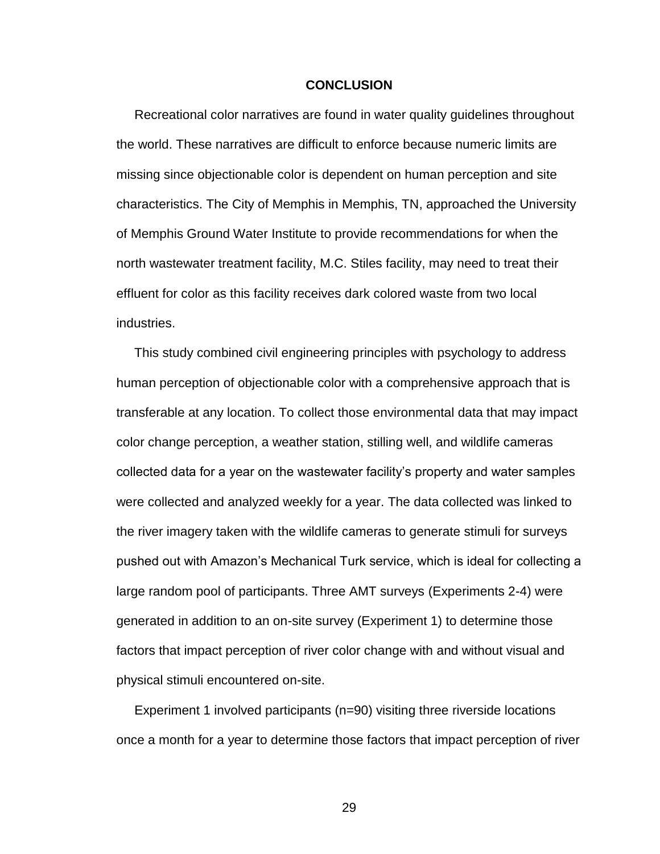#### **CONCLUSION**

 Recreational color narratives are found in water quality guidelines throughout the world. These narratives are difficult to enforce because numeric limits are missing since objectionable color is dependent on human perception and site characteristics. The City of Memphis in Memphis, TN, approached the University of Memphis Ground Water Institute to provide recommendations for when the north wastewater treatment facility, M.C. Stiles facility, may need to treat their effluent for color as this facility receives dark colored waste from two local industries.

 This study combined civil engineering principles with psychology to address human perception of objectionable color with a comprehensive approach that is transferable at any location. To collect those environmental data that may impact color change perception, a weather station, stilling well, and wildlife cameras collected data for a year on the wastewater facility's property and water samples were collected and analyzed weekly for a year. The data collected was linked to the river imagery taken with the wildlife cameras to generate stimuli for surveys pushed out with Amazon's Mechanical Turk service, which is ideal for collecting a large random pool of participants. Three AMT surveys (Experiments 2-4) were generated in addition to an on-site survey (Experiment 1) to determine those factors that impact perception of river color change with and without visual and physical stimuli encountered on-site.

 Experiment 1 involved participants (n=90) visiting three riverside locations once a month for a year to determine those factors that impact perception of river